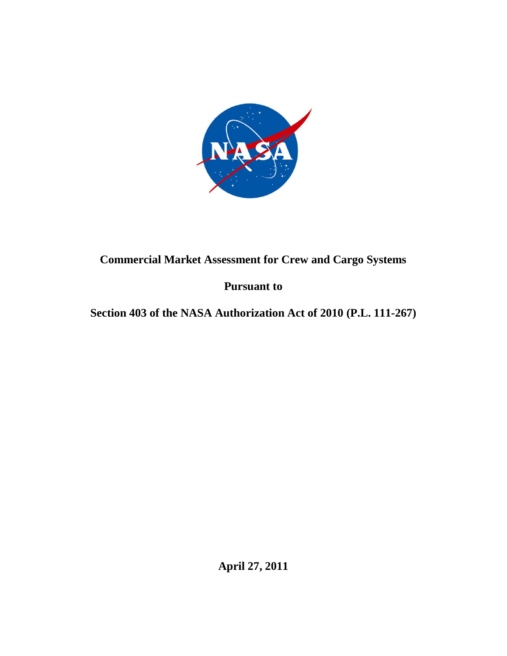

# **Commercial Market Assessment for Crew and Cargo Systems**

## **Pursuant to**

## **Section 403 of the NASA Authorization Act of 2010 (P.L. 111-267)**

**April 27, 2011**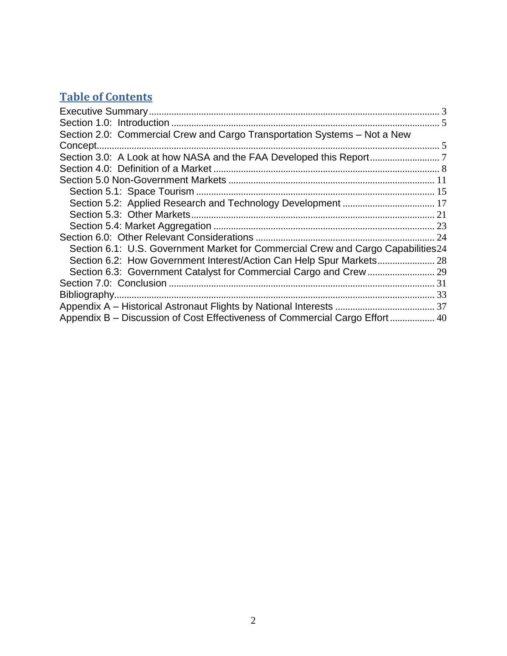# **Table of Contents**

| Section 2.0: Commercial Crew and Cargo Transportation Systems - Not a New         |  |
|-----------------------------------------------------------------------------------|--|
|                                                                                   |  |
|                                                                                   |  |
|                                                                                   |  |
|                                                                                   |  |
|                                                                                   |  |
|                                                                                   |  |
|                                                                                   |  |
|                                                                                   |  |
|                                                                                   |  |
| Section 6.1: U.S. Government Market for Commercial Crew and Cargo Capabilities 24 |  |
|                                                                                   |  |
|                                                                                   |  |
|                                                                                   |  |
|                                                                                   |  |
|                                                                                   |  |
| Appendix B – Discussion of Cost Effectiveness of Commercial Cargo Effort 40       |  |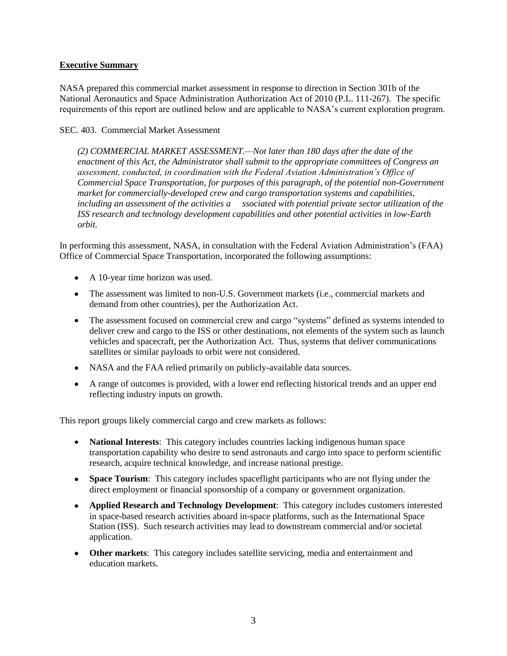## <span id="page-2-0"></span>**Executive Summary**

NASA prepared this commercial market assessment in response to direction in Section 301b of the National Aeronautics and Space Administration Authorization Act of 2010 (P.L. 111-267). The specific requirements of this report are outlined below and are applicable to NASA's current exploration program.

#### SEC. 403. Commercial Market Assessment

*(2) COMMERCIAL MARKET ASSESSMENT.—Not later than 180 days after the date of the enactment of this Act, the Administrator shall submit to the appropriate committees of Congress an assessment, conducted, in coordination with the Federal Aviation Administration's Office of Commercial Space Transportation, for purposes of this paragraph, of the potential non-Government market for commercially-developed crew and cargo transportation systems and capabilities, including an assessment of the activities a ssociated with potential private sector utilization of the ISS research and technology development capabilities and other potential activities in low-Earth orbit.*

In performing this assessment, NASA, in consultation with the Federal Aviation Administration's (FAA) Office of Commercial Space Transportation, incorporated the following assumptions:

- A 10-year time horizon was used.
- The assessment was limited to non-U.S. Government markets (i.e., commercial markets and demand from other countries), per the Authorization Act.
- The assessment focused on commercial crew and cargo "systems" defined as systems intended to deliver crew and cargo to the ISS or other destinations, not elements of the system such as launch vehicles and spacecraft, per the Authorization Act. Thus, systems that deliver communications satellites or similar payloads to orbit were not considered.
- NASA and the FAA relied primarily on publicly-available data sources.
- A range of outcomes is provided, with a lower end reflecting historical trends and an upper end reflecting industry inputs on growth.

This report groups likely commercial cargo and crew markets as follows:

- **National Interests**: This category includes countries lacking indigenous human space transportation capability who desire to send astronauts and cargo into space to perform scientific research, acquire technical knowledge, and increase national prestige.
- **Space Tourism**: This category includes spaceflight participants who are not flying under the direct employment or financial sponsorship of a company or government organization.
- **Applied Research and Technology Development**: This category includes customers interested in space-based research activities aboard in-space platforms, such as the International Space Station (ISS). Such research activities may lead to downstream commercial and/or societal application.
- **Other markets**: This category includes satellite servicing, media and entertainment and education markets.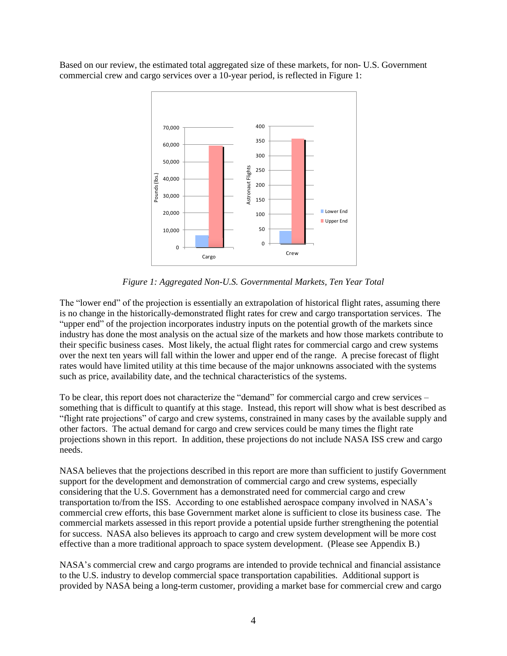Based on our review, the estimated total aggregated size of these markets, for non- U.S. Government commercial crew and cargo services over a 10-year period, is reflected in Figure 1:



*Figure 1: Aggregated Non-U.S. Governmental Markets, Ten Year Total*

The "lower end" of the projection is essentially an extrapolation of historical flight rates, assuming there is no change in the historically-demonstrated flight rates for crew and cargo transportation services. The "upper end" of the projection incorporates industry inputs on the potential growth of the markets since industry has done the most analysis on the actual size of the markets and how those markets contribute to their specific business cases. Most likely, the actual flight rates for commercial cargo and crew systems over the next ten years will fall within the lower and upper end of the range. A precise forecast of flight rates would have limited utility at this time because of the major unknowns associated with the systems such as price, availability date, and the technical characteristics of the systems.

To be clear, this report does not characterize the "demand" for commercial cargo and crew services  $$ something that is difficult to quantify at this stage. Instead, this report will show what is best described as ―flight rate projections‖ of cargo and crew systems, constrained in many cases by the available supply and other factors. The actual demand for cargo and crew services could be many times the flight rate projections shown in this report. In addition, these projections do not include NASA ISS crew and cargo needs.

NASA believes that the projections described in this report are more than sufficient to justify Government support for the development and demonstration of commercial cargo and crew systems, especially considering that the U.S. Government has a demonstrated need for commercial cargo and crew transportation to/from the ISS. According to one established aerospace company involved in NASA's commercial crew efforts, this base Government market alone is sufficient to close its business case. The commercial markets assessed in this report provide a potential upside further strengthening the potential for success. NASA also believes its approach to cargo and crew system development will be more cost effective than a more traditional approach to space system development. (Please see Appendix B.)

NASA's commercial crew and cargo programs are intended to provide technical and financial assistance to the U.S. industry to develop commercial space transportation capabilities. Additional support is provided by NASA being a long-term customer, providing a market base for commercial crew and cargo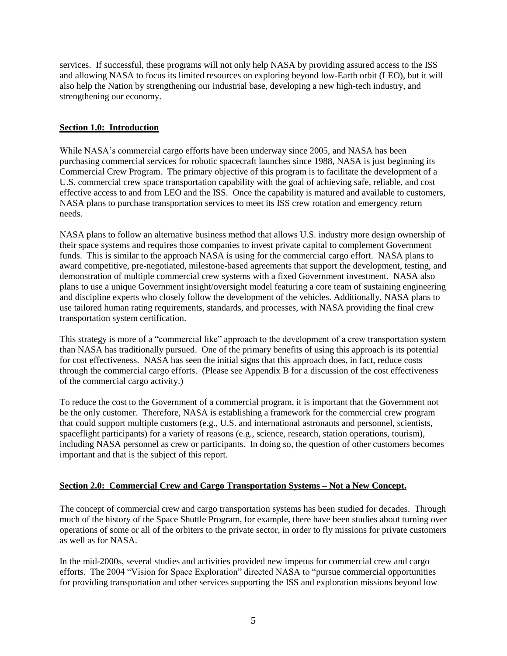services. If successful, these programs will not only help NASA by providing assured access to the ISS and allowing NASA to focus its limited resources on exploring beyond low-Earth orbit (LEO), but it will also help the Nation by strengthening our industrial base, developing a new high-tech industry, and strengthening our economy.

## <span id="page-4-0"></span>**Section 1.0: Introduction**

While NASA's commercial cargo efforts have been underway since 2005, and NASA has been purchasing commercial services for robotic spacecraft launches since 1988, NASA is just beginning its Commercial Crew Program. The primary objective of this program is to facilitate the development of a U.S. commercial crew space transportation capability with the goal of achieving safe, reliable, and cost effective access to and from LEO and the ISS. Once the capability is matured and available to customers, NASA plans to purchase transportation services to meet its ISS crew rotation and emergency return needs.

NASA plans to follow an alternative business method that allows U.S. industry more design ownership of their space systems and requires those companies to invest private capital to complement Government funds. This is similar to the approach NASA is using for the commercial cargo effort. NASA plans to award competitive, pre-negotiated, milestone-based agreements that support the development, testing, and demonstration of multiple commercial crew systems with a fixed Government investment. NASA also plans to use a unique Government insight/oversight model featuring a core team of sustaining engineering and discipline experts who closely follow the development of the vehicles. Additionally, NASA plans to use tailored human rating requirements, standards, and processes, with NASA providing the final crew transportation system certification.

This strategy is more of a "commercial like" approach to the development of a crew transportation system than NASA has traditionally pursued. One of the primary benefits of using this approach is its potential for cost effectiveness. NASA has seen the initial signs that this approach does, in fact, reduce costs through the commercial cargo efforts. (Please see Appendix B for a discussion of the cost effectiveness of the commercial cargo activity.)

To reduce the cost to the Government of a commercial program, it is important that the Government not be the only customer. Therefore, NASA is establishing a framework for the commercial crew program that could support multiple customers (e.g., U.S. and international astronauts and personnel, scientists, spaceflight participants) for a variety of reasons (e.g., science, research, station operations, tourism), including NASA personnel as crew or participants. In doing so, the question of other customers becomes important and that is the subject of this report.

#### <span id="page-4-1"></span>**Section 2.0: Commercial Crew and Cargo Transportation Systems – Not a New Concept.**

The concept of commercial crew and cargo transportation systems has been studied for decades. Through much of the history of the Space Shuttle Program, for example, there have been studies about turning over operations of some or all of the orbiters to the private sector, in order to fly missions for private customers as well as for NASA.

In the mid-2000s, several studies and activities provided new impetus for commercial crew and cargo efforts. The 2004 "Vision for Space Exploration" directed NASA to "pursue commercial opportunities for providing transportation and other services supporting the ISS and exploration missions beyond low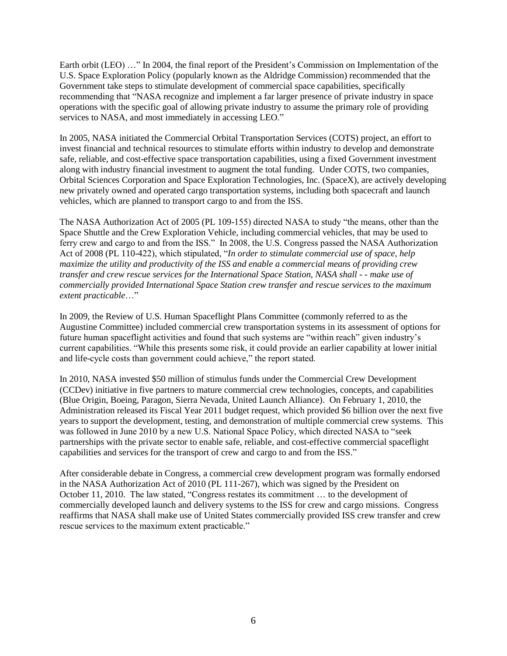Earth orbit (LEO) ..." In 2004, the final report of the President's Commission on Implementation of the U.S. Space Exploration Policy (popularly known as the Aldridge Commission) recommended that the Government take steps to stimulate development of commercial space capabilities, specifically recommending that "NASA recognize and implement a far larger presence of private industry in space operations with the specific goal of allowing private industry to assume the primary role of providing services to NASA, and most immediately in accessing LEO."

In 2005, NASA initiated the Commercial Orbital Transportation Services (COTS) project, an effort to invest financial and technical resources to stimulate efforts within industry to develop and demonstrate safe, reliable, and cost-effective space transportation capabilities, using a fixed Government investment along with industry financial investment to augment the total funding. Under COTS, two companies, Orbital Sciences Corporation and Space Exploration Technologies, Inc. (SpaceX), are actively developing new privately owned and operated cargo transportation systems, including both spacecraft and launch vehicles, which are planned to transport cargo to and from the ISS.

The NASA Authorization Act of 2005 (PL 109-155) directed NASA to study "the means, other than the Space Shuttle and the Crew Exploration Vehicle, including commercial vehicles, that may be used to ferry crew and cargo to and from the ISS." In 2008, the U.S. Congress passed the NASA Authorization Act of 2008 (PL 110-422), which stipulated, "In order to stimulate commercial use of space, help *maximize the utility and productivity of the ISS and enable a commercial means of providing crew transfer and crew rescue services for the International Space Station, NASA shall - - make use of commercially provided International Space Station crew transfer and rescue services to the maximum extent practicable*…‖

In 2009, the Review of U.S. Human Spaceflight Plans Committee (commonly referred to as the Augustine Committee) included commercial crew transportation systems in its assessment of options for future human spaceflight activities and found that such systems are "within reach" given industry's current capabilities. "While this presents some risk, it could provide an earlier capability at lower initial and life-cycle costs than government could achieve," the report stated.

In 2010, NASA invested \$50 million of stimulus funds under the Commercial Crew Development (CCDev) initiative in five partners to mature commercial crew technologies, concepts, and capabilities (Blue Origin, Boeing, Paragon, Sierra Nevada, United Launch Alliance). On February 1, 2010, the Administration released its Fiscal Year 2011 budget request, which provided \$6 billion over the next five years to support the development, testing, and demonstration of multiple commercial crew systems. This was followed in June 2010 by a new U.S. National Space Policy, which directed NASA to "seek partnerships with the private sector to enable safe, reliable, and cost-effective commercial spaceflight capabilities and services for the transport of crew and cargo to and from the ISS."

<span id="page-5-0"></span>After considerable debate in Congress, a commercial crew development program was formally endorsed in the NASA Authorization Act of 2010 (PL 111-267), which was signed by the President on October 11, 2010. The law stated, "Congress restates its commitment ... to the development of commercially developed launch and delivery systems to the ISS for crew and cargo missions. Congress reaffirms that NASA shall make use of United States commercially provided ISS crew transfer and crew rescue services to the maximum extent practicable."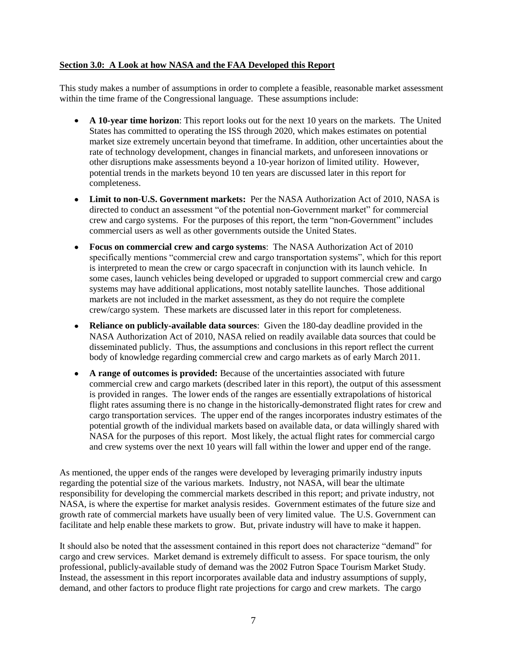#### **Section 3.0: A Look at how NASA and the FAA Developed this Report**

This study makes a number of assumptions in order to complete a feasible, reasonable market assessment within the time frame of the Congressional language. These assumptions include:

- **A 10-year time horizon**: This report looks out for the next 10 years on the markets. The United States has committed to operating the ISS through 2020, which makes estimates on potential market size extremely uncertain beyond that timeframe. In addition, other uncertainties about the rate of technology development, changes in financial markets, and unforeseen innovations or other disruptions make assessments beyond a 10-year horizon of limited utility. However, potential trends in the markets beyond 10 ten years are discussed later in this report for completeness.
- $\bullet$ **Limit to non-U.S. Government markets:** Per the NASA Authorization Act of 2010, NASA is directed to conduct an assessment "of the potential non-Government market" for commercial crew and cargo systems. For the purposes of this report, the term "non-Government" includes commercial users as well as other governments outside the United States.
- **Focus on commercial crew and cargo systems**: The NASA Authorization Act of 2010 specifically mentions "commercial crew and cargo transportation systems", which for this report is interpreted to mean the crew or cargo spacecraft in conjunction with its launch vehicle. In some cases, launch vehicles being developed or upgraded to support commercial crew and cargo systems may have additional applications, most notably satellite launches. Those additional markets are not included in the market assessment, as they do not require the complete crew/cargo system. These markets are discussed later in this report for completeness.
- **Reliance on publicly-available data sources**: Given the 180-day deadline provided in the NASA Authorization Act of 2010, NASA relied on readily available data sources that could be disseminated publicly. Thus, the assumptions and conclusions in this report reflect the current body of knowledge regarding commercial crew and cargo markets as of early March 2011.
- **A range of outcomes is provided:** Because of the uncertainties associated with future commercial crew and cargo markets (described later in this report), the output of this assessment is provided in ranges. The lower ends of the ranges are essentially extrapolations of historical flight rates assuming there is no change in the historically-demonstrated flight rates for crew and cargo transportation services. The upper end of the ranges incorporates industry estimates of the potential growth of the individual markets based on available data, or data willingly shared with NASA for the purposes of this report. Most likely, the actual flight rates for commercial cargo and crew systems over the next 10 years will fall within the lower and upper end of the range.

As mentioned, the upper ends of the ranges were developed by leveraging primarily industry inputs regarding the potential size of the various markets. Industry, not NASA, will bear the ultimate responsibility for developing the commercial markets described in this report; and private industry, not NASA, is where the expertise for market analysis resides. Government estimates of the future size and growth rate of commercial markets have usually been of very limited value. The U.S. Government can facilitate and help enable these markets to grow. But, private industry will have to make it happen.

It should also be noted that the assessment contained in this report does not characterize "demand" for cargo and crew services. Market demand is extremely difficult to assess. For space tourism, the only professional, publicly-available study of demand was the 2002 Futron Space Tourism Market Study. Instead, the assessment in this report incorporates available data and industry assumptions of supply, demand, and other factors to produce flight rate projections for cargo and crew markets. The cargo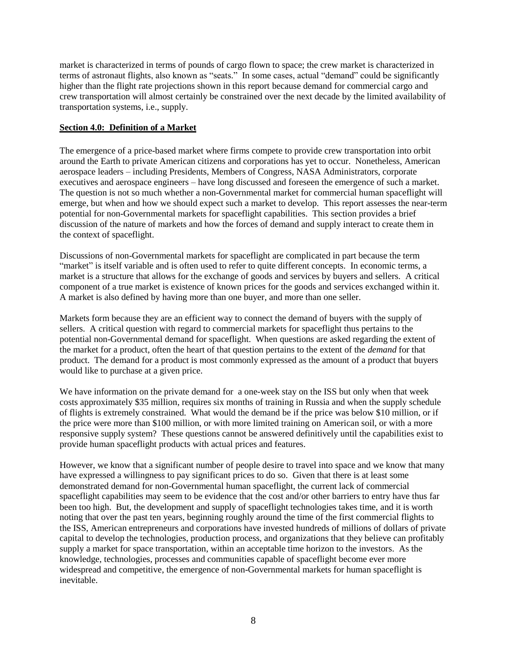market is characterized in terms of pounds of cargo flown to space; the crew market is characterized in terms of astronaut flights, also known as "seats." In some cases, actual "demand" could be significantly higher than the flight rate projections shown in this report because demand for commercial cargo and crew transportation will almost certainly be constrained over the next decade by the limited availability of transportation systems, i.e., supply.

## <span id="page-7-0"></span>**Section 4.0: Definition of a Market**

The emergence of a price-based market where firms compete to provide crew transportation into orbit around the Earth to private American citizens and corporations has yet to occur. Nonetheless, American aerospace leaders – including Presidents, Members of Congress, NASA Administrators, corporate executives and aerospace engineers – have long discussed and foreseen the emergence of such a market. The question is not so much whether a non-Governmental market for commercial human spaceflight will emerge, but when and how we should expect such a market to develop. This report assesses the near-term potential for non-Governmental markets for spaceflight capabilities. This section provides a brief discussion of the nature of markets and how the forces of demand and supply interact to create them in the context of spaceflight.

Discussions of non-Governmental markets for spaceflight are complicated in part because the term "market" is itself variable and is often used to refer to quite different concepts. In economic terms, a market is a structure that allows for the exchange of goods and services by buyers and sellers. A critical component of a true market is existence of known prices for the goods and services exchanged within it. A market is also defined by having more than one buyer, and more than one seller.

Markets form because they are an efficient way to connect the demand of buyers with the supply of sellers. A critical question with regard to commercial markets for spaceflight thus pertains to the potential non-Governmental demand for spaceflight. When questions are asked regarding the extent of the market for a product, often the heart of that question pertains to the extent of the *demand* for that product. The demand for a product is most commonly expressed as the amount of a product that buyers would like to purchase at a given price.

We have information on the private demand for a one-week stay on the ISS but only when that week costs approximately \$35 million, requires six months of training in Russia and when the supply schedule of flights is extremely constrained. What would the demand be if the price was below \$10 million, or if the price were more than \$100 million, or with more limited training on American soil, or with a more responsive supply system? These questions cannot be answered definitively until the capabilities exist to provide human spaceflight products with actual prices and features.

However, we know that a significant number of people desire to travel into space and we know that many have expressed a willingness to pay significant prices to do so. Given that there is at least some demonstrated demand for non-Governmental human spaceflight, the current lack of commercial spaceflight capabilities may seem to be evidence that the cost and/or other barriers to entry have thus far been too high. But, the development and supply of spaceflight technologies takes time, and it is worth noting that over the past ten years, beginning roughly around the time of the first commercial flights to the ISS, American entrepreneurs and corporations have invested hundreds of millions of dollars of private capital to develop the technologies, production process, and organizations that they believe can profitably supply a market for space transportation, within an acceptable time horizon to the investors. As the knowledge, technologies, processes and communities capable of spaceflight become ever more widespread and competitive, the emergence of non-Governmental markets for human spaceflight is inevitable.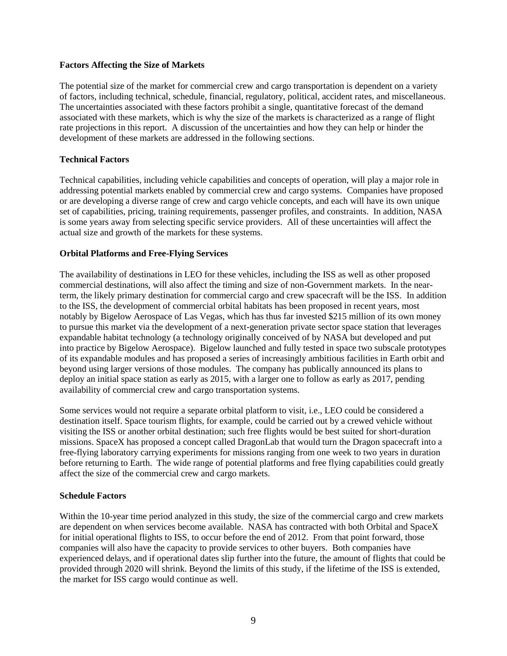#### **Factors Affecting the Size of Markets**

The potential size of the market for commercial crew and cargo transportation is dependent on a variety of factors, including technical, schedule, financial, regulatory, political, accident rates, and miscellaneous. The uncertainties associated with these factors prohibit a single, quantitative forecast of the demand associated with these markets, which is why the size of the markets is characterized as a range of flight rate projections in this report. A discussion of the uncertainties and how they can help or hinder the development of these markets are addressed in the following sections.

## **Technical Factors**

Technical capabilities, including vehicle capabilities and concepts of operation, will play a major role in addressing potential markets enabled by commercial crew and cargo systems. Companies have proposed or are developing a diverse range of crew and cargo vehicle concepts, and each will have its own unique set of capabilities, pricing, training requirements, passenger profiles, and constraints. In addition, NASA is some years away from selecting specific service providers. All of these uncertainties will affect the actual size and growth of the markets for these systems.

## **Orbital Platforms and Free-Flying Services**

The availability of destinations in LEO for these vehicles, including the ISS as well as other proposed commercial destinations, will also affect the timing and size of non-Government markets. In the nearterm, the likely primary destination for commercial cargo and crew spacecraft will be the ISS. In addition to the ISS, the development of commercial orbital habitats has been proposed in recent years, most notably by Bigelow Aerospace of Las Vegas, which has thus far invested \$215 million of its own money to pursue this market via the development of a next-generation private sector space station that leverages expandable habitat technology (a technology originally conceived of by NASA but developed and put into practice by Bigelow Aerospace). Bigelow launched and fully tested in space two subscale prototypes of its expandable modules and has proposed a series of increasingly ambitious facilities in Earth orbit and beyond using larger versions of those modules. The company has publically announced its plans to deploy an initial space station as early as 2015, with a larger one to follow as early as 2017, pending availability of commercial crew and cargo transportation systems.

Some services would not require a separate orbital platform to visit, i.e., LEO could be considered a destination itself. Space tourism flights, for example, could be carried out by a crewed vehicle without visiting the ISS or another orbital destination; such free flights would be best suited for short-duration missions. SpaceX has proposed a concept called DragonLab that would turn the Dragon spacecraft into a free-flying laboratory carrying experiments for missions ranging from one week to two years in duration before returning to Earth. The wide range of potential platforms and free flying capabilities could greatly affect the size of the commercial crew and cargo markets.

#### **Schedule Factors**

Within the 10-year time period analyzed in this study, the size of the commercial cargo and crew markets are dependent on when services become available. NASA has contracted with both Orbital and SpaceX for initial operational flights to ISS, to occur before the end of 2012. From that point forward, those companies will also have the capacity to provide services to other buyers. Both companies have experienced delays, and if operational dates slip further into the future, the amount of flights that could be provided through 2020 will shrink. Beyond the limits of this study, if the lifetime of the ISS is extended, the market for ISS cargo would continue as well.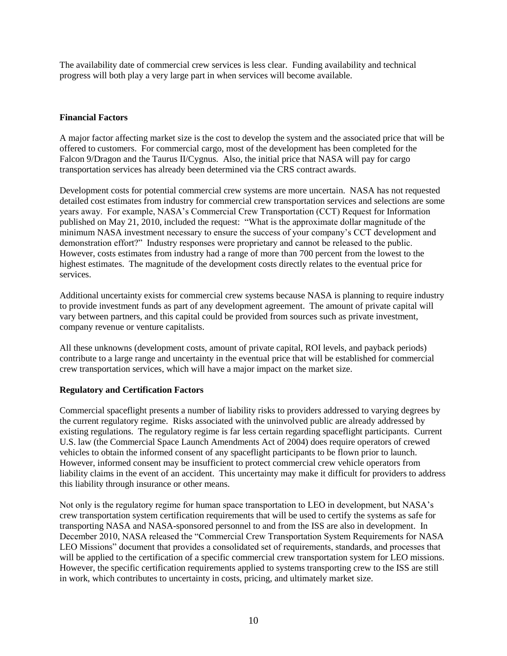The availability date of commercial crew services is less clear. Funding availability and technical progress will both play a very large part in when services will become available.

## **Financial Factors**

A major factor affecting market size is the cost to develop the system and the associated price that will be offered to customers. For commercial cargo, most of the development has been completed for the Falcon 9/Dragon and the Taurus II/Cygnus. Also, the initial price that NASA will pay for cargo transportation services has already been determined via the CRS contract awards.

Development costs for potential commercial crew systems are more uncertain. NASA has not requested detailed cost estimates from industry for commercial crew transportation services and selections are some years away. For example, NASA's Commercial Crew Transportation (CCT) Request for Information published on May 21, 2010, included the request: "What is the approximate dollar magnitude of the minimum NASA investment necessary to ensure the success of your company's CCT development and demonstration effort?‖ Industry responses were proprietary and cannot be released to the public. However, costs estimates from industry had a range of more than 700 percent from the lowest to the highest estimates. The magnitude of the development costs directly relates to the eventual price for services.

Additional uncertainty exists for commercial crew systems because NASA is planning to require industry to provide investment funds as part of any development agreement. The amount of private capital will vary between partners, and this capital could be provided from sources such as private investment, company revenue or venture capitalists.

All these unknowns (development costs, amount of private capital, ROI levels, and payback periods) contribute to a large range and uncertainty in the eventual price that will be established for commercial crew transportation services, which will have a major impact on the market size.

## **Regulatory and Certification Factors**

Commercial spaceflight presents a number of liability risks to providers addressed to varying degrees by the current regulatory regime. Risks associated with the uninvolved public are already addressed by existing regulations. The regulatory regime is far less certain regarding spaceflight participants. Current U.S. law (the Commercial Space Launch Amendments Act of 2004) does require operators of crewed vehicles to obtain the informed consent of any spaceflight participants to be flown prior to launch. However, informed consent may be insufficient to protect commercial crew vehicle operators from liability claims in the event of an accident. This uncertainty may make it difficult for providers to address this liability through insurance or other means.

Not only is the regulatory regime for human space transportation to LEO in development, but NASA's crew transportation system certification requirements that will be used to certify the systems as safe for transporting NASA and NASA-sponsored personnel to and from the ISS are also in development. In December 2010, NASA released the "Commercial Crew Transportation System Requirements for NASA LEO Missions" document that provides a consolidated set of requirements, standards, and processes that will be applied to the certification of a specific commercial crew transportation system for LEO missions. However, the specific certification requirements applied to systems transporting crew to the ISS are still in work, which contributes to uncertainty in costs, pricing, and ultimately market size.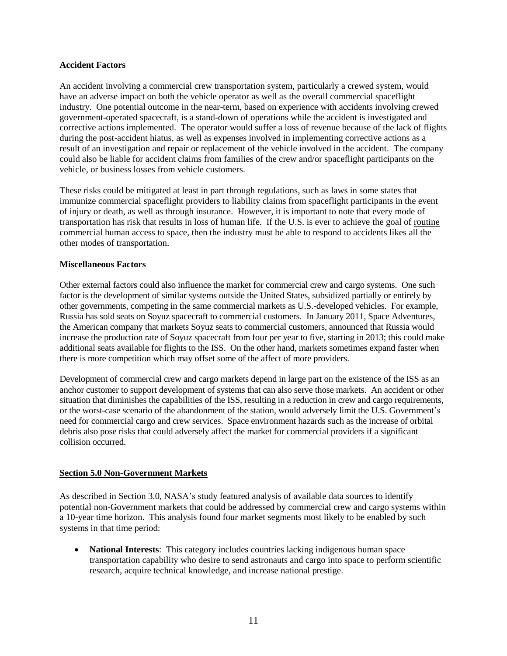#### **Accident Factors**

An accident involving a commercial crew transportation system, particularly a crewed system, would have an adverse impact on both the vehicle operator as well as the overall commercial spaceflight industry. One potential outcome in the near-term, based on experience with accidents involving crewed government-operated spacecraft, is a stand-down of operations while the accident is investigated and corrective actions implemented. The operator would suffer a loss of revenue because of the lack of flights during the post-accident hiatus, as well as expenses involved in implementing corrective actions as a result of an investigation and repair or replacement of the vehicle involved in the accident. The company could also be liable for accident claims from families of the crew and/or spaceflight participants on the vehicle, or business losses from vehicle customers.

These risks could be mitigated at least in part through regulations, such as laws in some states that immunize commercial spaceflight providers to liability claims from spaceflight participants in the event of injury or death, as well as through insurance. However, it is important to note that every mode of transportation has risk that results in loss of human life. If the U.S. is ever to achieve the goal of routine commercial human access to space, then the industry must be able to respond to accidents likes all the other modes of transportation.

## **Miscellaneous Factors**

Other external factors could also influence the market for commercial crew and cargo systems. One such factor is the development of similar systems outside the United States, subsidized partially or entirely by other governments, competing in the same commercial markets as U.S.-developed vehicles. For example, Russia has sold seats on Soyuz spacecraft to commercial customers. In January 2011, Space Adventures, the American company that markets Soyuz seats to commercial customers, announced that Russia would increase the production rate of Soyuz spacecraft from four per year to five, starting in 2013; this could make additional seats available for flights to the ISS. On the other hand, markets sometimes expand faster when there is more competition which may offset some of the affect of more providers.

Development of commercial crew and cargo markets depend in large part on the existence of the ISS as an anchor customer to support development of systems that can also serve those markets. An accident or other situation that diminishes the capabilities of the ISS, resulting in a reduction in crew and cargo requirements, or the worst-case scenario of the abandonment of the station, would adversely limit the U.S. Government's need for commercial cargo and crew services. Space environment hazards such as the increase of orbital debris also pose risks that could adversely affect the market for commercial providers if a significant collision occurred.

#### <span id="page-10-0"></span>**Section 5.0 Non-Government Markets**

As described in Section 3.0, NASA's study featured analysis of available data sources to identify potential non-Government markets that could be addressed by commercial crew and cargo systems within a 10-year time horizon. This analysis found four market segments most likely to be enabled by such systems in that time period:

**National Interests**: This category includes countries lacking indigenous human space  $\bullet$ transportation capability who desire to send astronauts and cargo into space to perform scientific research, acquire technical knowledge, and increase national prestige.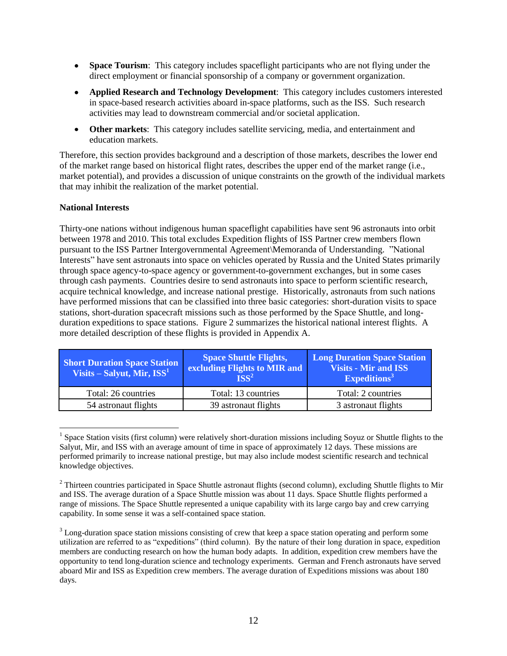- **Space Tourism**: This category includes spaceflight participants who are not flying under the direct employment or financial sponsorship of a company or government organization.
- **Applied Research and Technology Development**: This category includes customers interested in space-based research activities aboard in-space platforms, such as the ISS. Such research activities may lead to downstream commercial and/or societal application.
- $\bullet$ **Other markets**: This category includes satellite servicing, media, and entertainment and education markets.

Therefore, this section provides background and a description of those markets, describes the lower end of the market range based on historical flight rates, describes the upper end of the market range (i.e., market potential), and provides a discussion of unique constraints on the growth of the individual markets that may inhibit the realization of the market potential.

#### **National Interests**

 $\overline{a}$ 

Thirty-one nations without indigenous human spaceflight capabilities have sent 96 astronauts into orbit between 1978 and 2010. This total excludes Expedition flights of ISS Partner crew members flown pursuant to the ISS Partner Intergovernmental Agreement\Memoranda of Understanding. "National Interests" have sent astronauts into space on vehicles operated by Russia and the United States primarily through space agency-to-space agency or government-to-government exchanges, but in some cases through cash payments. Countries desire to send astronauts into space to perform scientific research, acquire technical knowledge, and increase national prestige. Historically, astronauts from such nations have performed missions that can be classified into three basic categories: short-duration visits to space stations, short-duration spacecraft missions such as those performed by the Space Shuttle, and longduration expeditions to space stations. Figure 2 summarizes the historical national interest flights. A more detailed description of these flights is provided in Appendix A.

| <b>Short Duration Space Station</b><br>Visits – Salyut, Mir, $ISS1$ | <b>Space Shuttle Flights,</b><br>excluding Flights to MIR and<br>$\overline{\text{ISS}^2}$ | <b>Long Duration Space Station</b><br><b>Visits - Mir and ISS</b><br>Expeditions <sup>3</sup> |  |
|---------------------------------------------------------------------|--------------------------------------------------------------------------------------------|-----------------------------------------------------------------------------------------------|--|
| Total: 26 countries                                                 | Total: 13 countries                                                                        | Total: 2 countries                                                                            |  |
| 54 astronaut flights                                                | 39 astronaut flights                                                                       | 3 astronaut flights                                                                           |  |

<sup>&</sup>lt;sup>1</sup> Space Station visits (first column) were relatively short-duration missions including Soyuz or Shuttle flights to the Salyut, Mir, and ISS with an average amount of time in space of approximately 12 days. These missions are performed primarily to increase national prestige, but may also include modest scientific research and technical knowledge objectives.

 $2$  Thirteen countries participated in Space Shuttle astronaut flights (second column), excluding Shuttle flights to Mir and ISS. The average duration of a Space Shuttle mission was about 11 days. Space Shuttle flights performed a range of missions. The Space Shuttle represented a unique capability with its large cargo bay and crew carrying capability. In some sense it was a self-contained space station.

<sup>&</sup>lt;sup>3</sup> Long-duration space station missions consisting of crew that keep a space station operating and perform some utilization are referred to as "expeditions" (third column). By the nature of their long duration in space, expedition members are conducting research on how the human body adapts. In addition, expedition crew members have the opportunity to tend long-duration science and technology experiments. German and French astronauts have served aboard Mir and ISS as Expedition crew members. The average duration of Expeditions missions was about 180 days.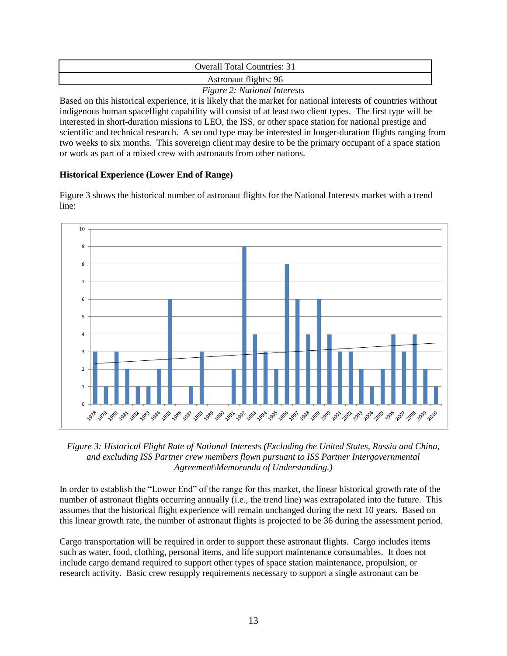| <b>Overall Total Countries: 31</b>                                |
|-------------------------------------------------------------------|
| Astronaut flights: 96                                             |
| $F: \ldots$ $\Omega: M \rightarrow \ldots$ $I \rightarrow \ldots$ |

*Figure 2: National Interests*

Based on this historical experience, it is likely that the market for national interests of countries without indigenous human spaceflight capability will consist of at least two client types. The first type will be interested in short-duration missions to LEO, the ISS, or other space station for national prestige and scientific and technical research. A second type may be interested in longer-duration flights ranging from two weeks to six months. This sovereign client may desire to be the primary occupant of a space station or work as part of a mixed crew with astronauts from other nations.

## **Historical Experience (Lower End of Range)**

Figure 3 shows the historical number of astronaut flights for the National Interests market with a trend line:



*Figure 3: Historical Flight Rate of National Interests (Excluding the United States, Russia and China, and excluding ISS Partner crew members flown pursuant to ISS Partner Intergovernmental Agreement\Memoranda of Understanding.)* 

In order to establish the "Lower End" of the range for this market, the linear historical growth rate of the number of astronaut flights occurring annually (i.e., the trend line) was extrapolated into the future. This assumes that the historical flight experience will remain unchanged during the next 10 years. Based on this linear growth rate, the number of astronaut flights is projected to be 36 during the assessment period.

Cargo transportation will be required in order to support these astronaut flights. Cargo includes items such as water, food, clothing, personal items, and life support maintenance consumables. It does not include cargo demand required to support other types of space station maintenance, propulsion, or research activity. Basic crew resupply requirements necessary to support a single astronaut can be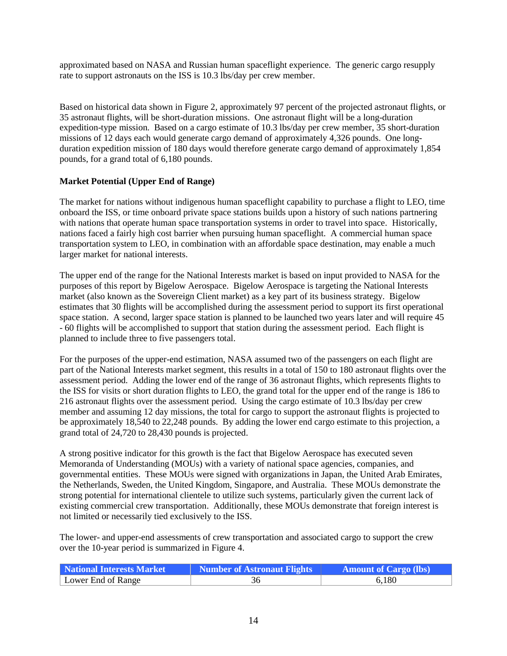approximated based on NASA and Russian human spaceflight experience. The generic cargo resupply rate to support astronauts on the ISS is 10.3 lbs/day per crew member.

Based on historical data shown in Figure 2, approximately 97 percent of the projected astronaut flights, or 35 astronaut flights, will be short-duration missions. One astronaut flight will be a long-duration expedition-type mission. Based on a cargo estimate of 10.3 lbs/day per crew member, 35 short-duration missions of 12 days each would generate cargo demand of approximately 4,326 pounds. One longduration expedition mission of 180 days would therefore generate cargo demand of approximately 1,854 pounds, for a grand total of 6,180 pounds.

## **Market Potential (Upper End of Range)**

The market for nations without indigenous human spaceflight capability to purchase a flight to LEO, time onboard the ISS, or time onboard private space stations builds upon a history of such nations partnering with nations that operate human space transportation systems in order to travel into space. Historically, nations faced a fairly high cost barrier when pursuing human spaceflight. A commercial human space transportation system to LEO, in combination with an affordable space destination, may enable a much larger market for national interests.

The upper end of the range for the National Interests market is based on input provided to NASA for the purposes of this report by Bigelow Aerospace. Bigelow Aerospace is targeting the National Interests market (also known as the Sovereign Client market) as a key part of its business strategy. Bigelow estimates that 30 flights will be accomplished during the assessment period to support its first operational space station. A second, larger space station is planned to be launched two years later and will require 45 - 60 flights will be accomplished to support that station during the assessment period. Each flight is planned to include three to five passengers total.

For the purposes of the upper-end estimation, NASA assumed two of the passengers on each flight are part of the National Interests market segment, this results in a total of 150 to 180 astronaut flights over the assessment period. Adding the lower end of the range of 36 astronaut flights, which represents flights to the ISS for visits or short duration flights to LEO, the grand total for the upper end of the range is 186 to 216 astronaut flights over the assessment period. Using the cargo estimate of 10.3 lbs/day per crew member and assuming 12 day missions, the total for cargo to support the astronaut flights is projected to be approximately 18,540 to 22,248 pounds. By adding the lower end cargo estimate to this projection, a grand total of 24,720 to 28,430 pounds is projected.

A strong positive indicator for this growth is the fact that Bigelow Aerospace has executed seven Memoranda of Understanding (MOUs) with a variety of national space agencies, companies, and governmental entities. These MOUs were signed with organizations in Japan, the United Arab Emirates, the Netherlands, Sweden, the United Kingdom, Singapore, and Australia. These MOUs demonstrate the strong potential for international clientele to utilize such systems, particularly given the current lack of existing commercial crew transportation. Additionally, these MOUs demonstrate that foreign interest is not limited or necessarily tied exclusively to the ISS.

The lower- and upper-end assessments of crew transportation and associated cargo to support the crew over the 10-year period is summarized in Figure 4.

| National Interests Market | Number of Astronaut Flights | <b>Amount of Cargo (lbs)</b> |
|---------------------------|-----------------------------|------------------------------|
| Lower End of Range        |                             | 6.180                        |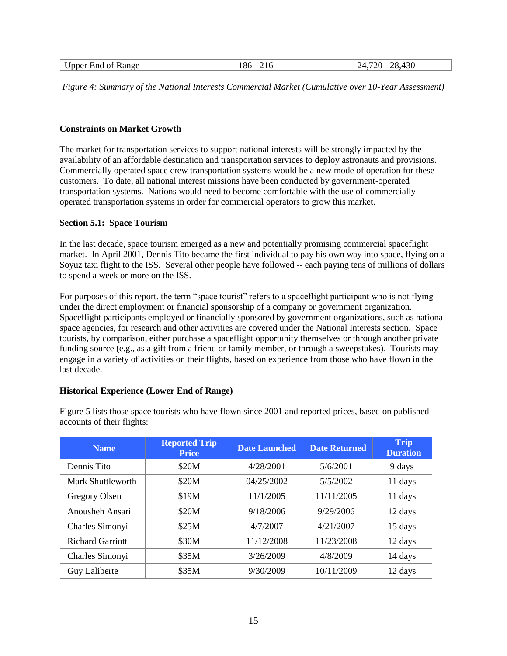| <b>Upper End of Range</b> |  | 12 <sup>C</sup><br>ിറ<br>776.<br>$^{\prime}$ |
|---------------------------|--|----------------------------------------------|
|---------------------------|--|----------------------------------------------|

*Figure 4: Summary of the National Interests Commercial Market (Cumulative over 10-Year Assessment)* 

#### **Constraints on Market Growth**

The market for transportation services to support national interests will be strongly impacted by the availability of an affordable destination and transportation services to deploy astronauts and provisions. Commercially operated space crew transportation systems would be a new mode of operation for these customers. To date, all national interest missions have been conducted by government-operated transportation systems. Nations would need to become comfortable with the use of commercially operated transportation systems in order for commercial operators to grow this market.

#### <span id="page-14-0"></span>**Section 5.1: Space Tourism**

In the last decade, space tourism emerged as a new and potentially promising commercial spaceflight market. In April 2001, Dennis Tito became the first individual to pay his own way into space, flying on a Soyuz taxi flight to the ISS. Several other people have followed -- each paying tens of millions of dollars to spend a week or more on the ISS.

For purposes of this report, the term "space tourist" refers to a spaceflight participant who is not flying under the direct employment or financial sponsorship of a company or government organization. Spaceflight participants employed or financially sponsored by government organizations, such as national space agencies, for research and other activities are covered under the National Interests section. Space tourists, by comparison, either purchase a spaceflight opportunity themselves or through another private funding source (e.g., as a gift from a friend or family member, or through a sweepstakes). Tourists may engage in a variety of activities on their flights, based on experience from those who have flown in the last decade.

#### **Historical Experience (Lower End of Range)**

| <b>Name</b>             | <b>Reported Trip</b><br><b>Price</b> | <b>Date Launched</b> | <b>Date Returned</b> | <b>Trip</b><br><b>Duration</b> |
|-------------------------|--------------------------------------|----------------------|----------------------|--------------------------------|
| Dennis Tito             | \$20M                                | 4/28/2001            | 5/6/2001             | 9 days                         |
| Mark Shuttleworth       | \$20M                                | 04/25/2002           | 5/5/2002             | 11 days                        |
| Gregory Olsen           | \$19M                                | 11/1/2005            | 11/11/2005           | 11 days                        |
| Anousheh Ansari         | \$20M                                | 9/18/2006            | 9/29/2006            | 12 days                        |
| Charles Simonyi         | \$25M                                | 4/7/2007             | 4/21/2007            | 15 days                        |
| <b>Richard Garriott</b> | \$30M                                | 11/12/2008           | 11/23/2008           | 12 days                        |
| Charles Simonyi         | \$35M                                | 3/26/2009            | 4/8/2009             | 14 days                        |
| <b>Guy Laliberte</b>    | \$35M                                | 9/30/2009            | 10/11/2009           | 12 days                        |

Figure 5 lists those space tourists who have flown since 2001 and reported prices, based on published accounts of their flights: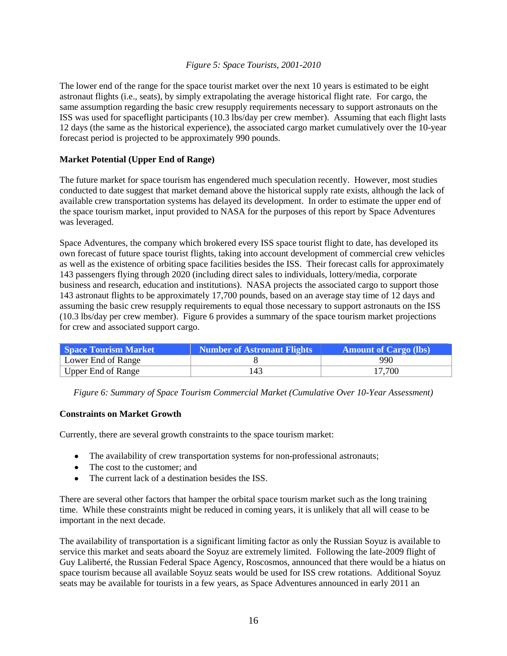#### *Figure 5: Space Tourists, 2001-2010*

The lower end of the range for the space tourist market over the next 10 years is estimated to be eight astronaut flights (i.e., seats), by simply extrapolating the average historical flight rate. For cargo, the same assumption regarding the basic crew resupply requirements necessary to support astronauts on the ISS was used for spaceflight participants (10.3 lbs/day per crew member). Assuming that each flight lasts 12 days (the same as the historical experience), the associated cargo market cumulatively over the 10-year forecast period is projected to be approximately 990 pounds.

## **Market Potential (Upper End of Range)**

The future market for space tourism has engendered much speculation recently. However, most studies conducted to date suggest that market demand above the historical supply rate exists, although the lack of available crew transportation systems has delayed its development. In order to estimate the upper end of the space tourism market, input provided to NASA for the purposes of this report by Space Adventures was leveraged.

Space Adventures, the company which brokered every ISS space tourist flight to date, has developed its own forecast of future space tourist flights, taking into account development of commercial crew vehicles as well as the existence of orbiting space facilities besides the ISS. Their forecast calls for approximately 143 passengers flying through 2020 (including direct sales to individuals, lottery/media, corporate business and research, education and institutions). NASA projects the associated cargo to support those 143 astronaut flights to be approximately 17,700 pounds, based on an average stay time of 12 days and assuming the basic crew resupply requirements to equal those necessary to support astronauts on the ISS (10.3 lbs/day per crew member). Figure 6 provides a summary of the space tourism market projections for crew and associated support cargo.

| <b>Space Tourism Market</b> | Number of Astronaut Flights | <b>Amount of Cargo (lbs)</b> |
|-----------------------------|-----------------------------|------------------------------|
| Lower End of Range          |                             | 990                          |
| Upper End of Range          | 143                         | 17,700                       |

*Figure 6: Summary of Space Tourism Commercial Market (Cumulative Over 10-Year Assessment)*

#### **Constraints on Market Growth**

Currently, there are several growth constraints to the space tourism market:

- The availability of crew transportation systems for non-professional astronauts;
- The cost to the customer; and
- The current lack of a destination besides the ISS.

There are several other factors that hamper the orbital space tourism market such as the long training time. While these constraints might be reduced in coming years, it is unlikely that all will cease to be important in the next decade.

The availability of transportation is a significant limiting factor as only the Russian Soyuz is available to service this market and seats aboard the Soyuz are extremely limited. Following the late-2009 flight of Guy Laliberté, the Russian Federal Space Agency, Roscosmos, announced that there would be a hiatus on space tourism because all available Soyuz seats would be used for ISS crew rotations. Additional Soyuz seats may be available for tourists in a few years, as Space Adventures announced in early 2011 an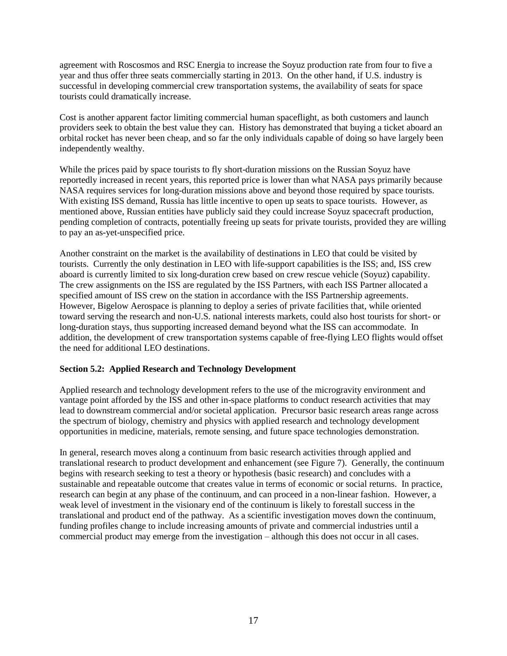agreement with Roscosmos and RSC Energia to increase the Soyuz production rate from four to five a year and thus offer three seats commercially starting in 2013. On the other hand, if U.S. industry is successful in developing commercial crew transportation systems, the availability of seats for space tourists could dramatically increase.

Cost is another apparent factor limiting commercial human spaceflight, as both customers and launch providers seek to obtain the best value they can. History has demonstrated that buying a ticket aboard an orbital rocket has never been cheap, and so far the only individuals capable of doing so have largely been independently wealthy.

While the prices paid by space tourists to fly short-duration missions on the Russian Soyuz have reportedly increased in recent years, this reported price is lower than what NASA pays primarily because NASA requires services for long-duration missions above and beyond those required by space tourists. With existing ISS demand, Russia has little incentive to open up seats to space tourists. However, as mentioned above, Russian entities have publicly said they could increase Soyuz spacecraft production, pending completion of contracts, potentially freeing up seats for private tourists, provided they are willing to pay an as-yet-unspecified price.

Another constraint on the market is the availability of destinations in LEO that could be visited by tourists. Currently the only destination in LEO with life-support capabilities is the ISS; and, ISS crew aboard is currently limited to six long-duration crew based on crew rescue vehicle (Soyuz) capability. The crew assignments on the ISS are regulated by the ISS Partners, with each ISS Partner allocated a specified amount of ISS crew on the station in accordance with the ISS Partnership agreements. However, Bigelow Aerospace is planning to deploy a series of private facilities that, while oriented toward serving the research and non-U.S. national interests markets, could also host tourists for short- or long-duration stays, thus supporting increased demand beyond what the ISS can accommodate. In addition, the development of crew transportation systems capable of free-flying LEO flights would offset the need for additional LEO destinations.

## <span id="page-16-0"></span>**Section 5.2: Applied Research and Technology Development**

Applied research and technology development refers to the use of the microgravity environment and vantage point afforded by the ISS and other in-space platforms to conduct research activities that may lead to downstream commercial and/or societal application. Precursor basic research areas range across the spectrum of biology, chemistry and physics with applied research and technology development opportunities in medicine, materials, remote sensing, and future space technologies demonstration.

In general, research moves along a continuum from basic research activities through applied and translational research to product development and enhancement (see Figure 7). Generally, the continuum begins with research seeking to test a theory or hypothesis (basic research) and concludes with a sustainable and repeatable outcome that creates value in terms of economic or social returns. In practice, research can begin at any phase of the continuum, and can proceed in a non-linear fashion. However, a weak level of investment in the visionary end of the continuum is likely to forestall success in the translational and product end of the pathway. As a scientific investigation moves down the continuum, funding profiles change to include increasing amounts of private and commercial industries until a commercial product may emerge from the investigation – although this does not occur in all cases.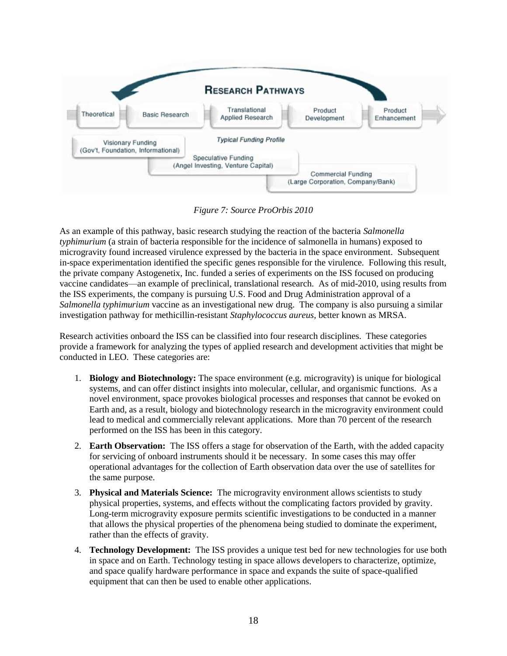

*Figure 7: Source ProOrbis 2010*

As an example of this pathway, basic research studying the reaction of the bacteria *Salmonella typhimurium* (a strain of bacteria responsible for the incidence of salmonella in humans) exposed to microgravity found increased virulence expressed by the bacteria in the space environment. Subsequent in-space experimentation identified the specific genes responsible for the virulence. Following this result, the private company Astogenetix, Inc. funded a series of experiments on the ISS focused on producing vaccine candidates—an example of preclinical, translational research. As of mid-2010, using results from the ISS experiments, the company is pursuing U.S. Food and Drug Administration approval of a *Salmonella typhimurium* vaccine as an investigational new drug. The company is also pursuing a similar investigation pathway for methicillin-resistant *Staphylococcus aureus*, better known as MRSA.

Research activities onboard the ISS can be classified into four research disciplines. These categories provide a framework for analyzing the types of applied research and development activities that might be conducted in LEO. These categories are:

- 1. **Biology and Biotechnology:** The space environment (e.g. microgravity) is unique for biological systems, and can offer distinct insights into molecular, cellular, and organismic functions. As a novel environment, space provokes biological processes and responses that cannot be evoked on Earth and, as a result, biology and biotechnology research in the microgravity environment could lead to medical and commercially relevant applications. More than 70 percent of the research performed on the ISS has been in this category.
- 2. **Earth Observation:** The ISS offers a stage for observation of the Earth, with the added capacity for servicing of onboard instruments should it be necessary. In some cases this may offer operational advantages for the collection of Earth observation data over the use of satellites for the same purpose.
- 3. **Physical and Materials Science:** The microgravity environment allows scientists to study physical properties, systems, and effects without the complicating factors provided by gravity. Long-term microgravity exposure permits scientific investigations to be conducted in a manner that allows the physical properties of the phenomena being studied to dominate the experiment, rather than the effects of gravity.
- 4. **Technology Development:** The ISS provides a unique test bed for new technologies for use both in space and on Earth. Technology testing in space allows developers to characterize, optimize, and space qualify hardware performance in space and expands the suite of space-qualified equipment that can then be used to enable other applications.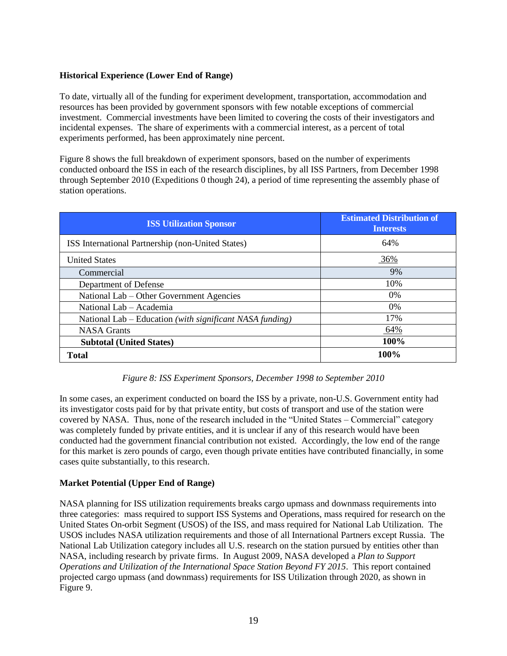## **Historical Experience (Lower End of Range)**

To date, virtually all of the funding for experiment development, transportation, accommodation and resources has been provided by government sponsors with few notable exceptions of commercial investment. Commercial investments have been limited to covering the costs of their investigators and incidental expenses. The share of experiments with a commercial interest, as a percent of total experiments performed, has been approximately nine percent.

Figure 8 shows the full breakdown of experiment sponsors, based on the number of experiments conducted onboard the ISS in each of the research disciplines, by all ISS Partners, from December 1998 through September 2010 (Expeditions 0 though 24), a period of time representing the assembly phase of station operations.

| <b>ISS Utilization Sponsor</b>                           | <b>Estimated Distribution of</b><br><b>Interests</b> |
|----------------------------------------------------------|------------------------------------------------------|
| ISS International Partnership (non-United States)        | 64%                                                  |
| <b>United States</b>                                     | 36%                                                  |
| Commercial                                               | 9%                                                   |
| Department of Defense                                    | 10%                                                  |
| National Lab – Other Government Agencies                 | $0\%$                                                |
| National Lab – Academia                                  | 0%                                                   |
| National Lab – Education (with significant NASA funding) | 17%                                                  |
| <b>NASA</b> Grants                                       | 64%                                                  |
| <b>Subtotal (United States)</b>                          | 100%                                                 |
| Total                                                    | 100%                                                 |

## *Figure 8: ISS Experiment Sponsors, December 1998 to September 2010*

In some cases, an experiment conducted on board the ISS by a private, non-U.S. Government entity had its investigator costs paid for by that private entity, but costs of transport and use of the station were covered by NASA. Thus, none of the research included in the "United States – Commercial" category was completely funded by private entities, and it is unclear if any of this research would have been conducted had the government financial contribution not existed. Accordingly, the low end of the range for this market is zero pounds of cargo, even though private entities have contributed financially, in some cases quite substantially, to this research.

## **Market Potential (Upper End of Range)**

NASA planning for ISS utilization requirements breaks cargo upmass and downmass requirements into three categories: mass required to support ISS Systems and Operations, mass required for research on the United States On-orbit Segment (USOS) of the ISS, and mass required for National Lab Utilization. The USOS includes NASA utilization requirements and those of all International Partners except Russia. The National Lab Utilization category includes all U.S. research on the station pursued by entities other than NASA, including research by private firms. In August 2009, NASA developed a *Plan to Support Operations and Utilization of the International Space Station Beyond FY 2015*. This report contained projected cargo upmass (and downmass) requirements for ISS Utilization through 2020, as shown in Figure 9.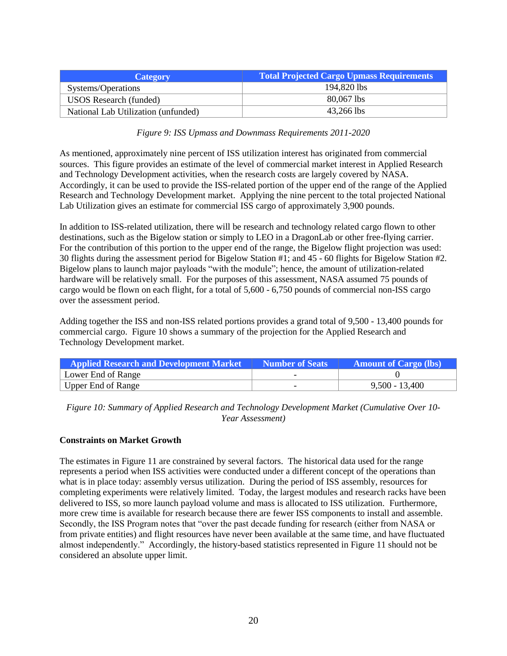| <b>Category</b>                     | <b>Total Projected Cargo Upmass Requirements</b> |  |  |
|-------------------------------------|--------------------------------------------------|--|--|
| Systems/Operations                  | 194.820 lbs                                      |  |  |
| <b>USOS</b> Research (funded)       | 80,067 lbs                                       |  |  |
| National Lab Utilization (unfunded) | 43,266 lbs                                       |  |  |

*Figure 9: ISS Upmass and Downmass Requirements 2011-2020*

As mentioned, approximately nine percent of ISS utilization interest has originated from commercial sources. This figure provides an estimate of the level of commercial market interest in Applied Research and Technology Development activities, when the research costs are largely covered by NASA. Accordingly, it can be used to provide the ISS-related portion of the upper end of the range of the Applied Research and Technology Development market. Applying the nine percent to the total projected National Lab Utilization gives an estimate for commercial ISS cargo of approximately 3,900 pounds.

In addition to ISS-related utilization, there will be research and technology related cargo flown to other destinations, such as the Bigelow station or simply to LEO in a DragonLab or other free-flying carrier. For the contribution of this portion to the upper end of the range, the Bigelow flight projection was used: 30 flights during the assessment period for Bigelow Station #1; and 45 - 60 flights for Bigelow Station #2. Bigelow plans to launch major payloads "with the module"; hence, the amount of utilization-related hardware will be relatively small. For the purposes of this assessment, NASA assumed 75 pounds of cargo would be flown on each flight, for a total of 5,600 - 6,750 pounds of commercial non-ISS cargo over the assessment period.

Adding together the ISS and non-ISS related portions provides a grand total of 9,500 - 13,400 pounds for commercial cargo. Figure 10 shows a summary of the projection for the Applied Research and Technology Development market.

| <b>Applied Research and Development Market</b> | <b>Number of Seats</b> | <b>Amount of Cargo (lbs)</b> |
|------------------------------------------------|------------------------|------------------------------|
| Lower End of Range                             |                        |                              |
| Upper End of Range                             | -                      | $9,500 - 13,400$             |

*Figure 10: Summary of Applied Research and Technology Development Market (Cumulative Over 10- Year Assessment)*

#### **Constraints on Market Growth**

The estimates in Figure 11 are constrained by several factors. The historical data used for the range represents a period when ISS activities were conducted under a different concept of the operations than what is in place today: assembly versus utilization. During the period of ISS assembly, resources for completing experiments were relatively limited. Today, the largest modules and research racks have been delivered to ISS, so more launch payload volume and mass is allocated to ISS utilization. Furthermore, more crew time is available for research because there are fewer ISS components to install and assemble. Secondly, the ISS Program notes that "over the past decade funding for research (either from NASA or from private entities) and flight resources have never been available at the same time, and have fluctuated almost independently." Accordingly, the history-based statistics represented in Figure 11 should not be considered an absolute upper limit.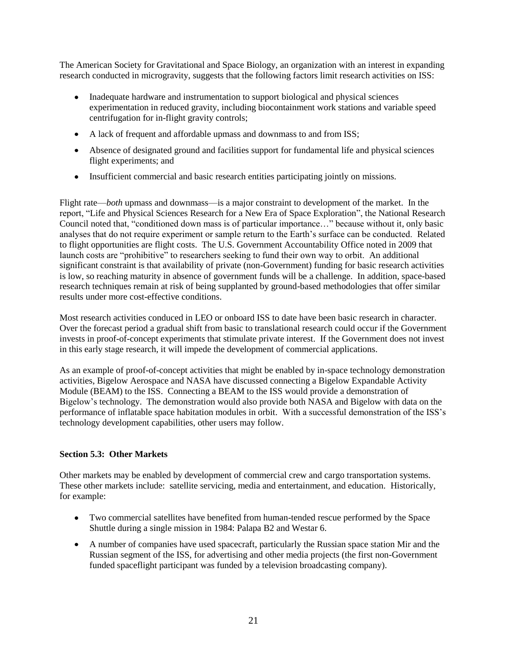The American Society for Gravitational and Space Biology, an organization with an interest in expanding research conducted in microgravity, suggests that the following factors limit research activities on ISS:

- Inadequate hardware and instrumentation to support biological and physical sciences experimentation in reduced gravity, including biocontainment work stations and variable speed centrifugation for in-flight gravity controls;
- A lack of frequent and affordable upmass and downmass to and from ISS;
- Absence of designated ground and facilities support for fundamental life and physical sciences flight experiments; and
- Insufficient commercial and basic research entities participating jointly on missions.

Flight rate—*both* upmass and downmass—is a major constraint to development of the market. In the report, "Life and Physical Sciences Research for a New Era of Space Exploration", the National Research Council noted that, "conditioned down mass is of particular importance..." because without it, only basic analyses that do not require experiment or sample return to the Earth's surface can be conducted. Related to flight opportunities are flight costs. The U.S. Government Accountability Office noted in 2009 that launch costs are "prohibitive" to researchers seeking to fund their own way to orbit. An additional significant constraint is that availability of private (non-Government) funding for basic research activities is low, so reaching maturity in absence of government funds will be a challenge. In addition, space-based research techniques remain at risk of being supplanted by ground-based methodologies that offer similar results under more cost-effective conditions.

Most research activities conduced in LEO or onboard ISS to date have been basic research in character. Over the forecast period a gradual shift from basic to translational research could occur if the Government invests in proof-of-concept experiments that stimulate private interest. If the Government does not invest in this early stage research, it will impede the development of commercial applications.

As an example of proof-of-concept activities that might be enabled by in-space technology demonstration activities, Bigelow Aerospace and NASA have discussed connecting a Bigelow Expandable Activity Module (BEAM) to the ISS. Connecting a BEAM to the ISS would provide a demonstration of Bigelow's technology. The demonstration would also provide both NASA and Bigelow with data on the performance of inflatable space habitation modules in orbit. With a successful demonstration of the ISS's technology development capabilities, other users may follow.

## <span id="page-20-0"></span>**Section 5.3: Other Markets**

Other markets may be enabled by development of commercial crew and cargo transportation systems. These other markets include: satellite servicing, media and entertainment, and education. Historically, for example:

- Two commercial satellites have benefited from human-tended rescue performed by the Space Shuttle during a single mission in 1984: Palapa B2 and Westar 6.
- A number of companies have used spacecraft, particularly the Russian space station Mir and the Russian segment of the ISS, for advertising and other media projects (the first non-Government funded spaceflight participant was funded by a television broadcasting company).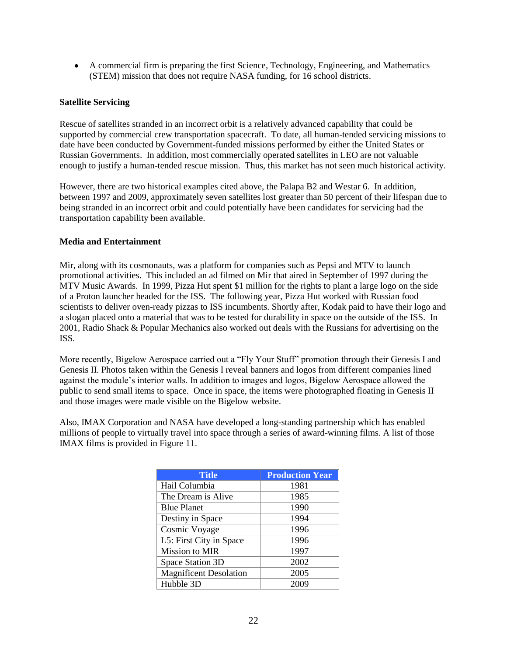A commercial firm is preparing the first Science, Technology, Engineering, and Mathematics (STEM) mission that does not require NASA funding, for 16 school districts.

#### **Satellite Servicing**

Rescue of satellites stranded in an incorrect orbit is a relatively advanced capability that could be supported by commercial crew transportation spacecraft. To date, all human-tended servicing missions to date have been conducted by Government-funded missions performed by either the United States or Russian Governments. In addition, most commercially operated satellites in LEO are not valuable enough to justify a human-tended rescue mission. Thus, this market has not seen much historical activity.

However, there are two historical examples cited above, the Palapa B2 and Westar 6. In addition, between 1997 and 2009, approximately seven satellites lost greater than 50 percent of their lifespan due to being stranded in an incorrect orbit and could potentially have been candidates for servicing had the transportation capability been available.

#### **Media and Entertainment**

Mir, along with its cosmonauts, was a platform for companies such as Pepsi and MTV to launch promotional activities. This included an ad filmed on Mir that aired in September of 1997 during the MTV Music Awards. In 1999, Pizza Hut spent \$1 million for the rights to plant a large logo on the side of a Proton launcher headed for the ISS. The following year, Pizza Hut worked with Russian food scientists to deliver oven-ready pizzas to ISS incumbents. Shortly after, Kodak paid to have their logo and a slogan placed onto a material that was to be tested for durability in space on the outside of the ISS. In 2001, Radio Shack & Popular Mechanics also worked out deals with the Russians for advertising on the ISS.

More recently, Bigelow Aerospace carried out a "Fly Your Stuff" promotion through their Genesis I and Genesis II. Photos taken within the Genesis I reveal banners and logos from different companies lined against the module's interior walls. In addition to images and logos, Bigelow Aerospace allowed the public to send small items to space. Once in space, the items were photographed floating in Genesis II and those images were made visible on the Bigelow website.

Also, IMAX Corporation and NASA have developed a long-standing partnership which has enabled millions of people to virtually travel into space through a series of award-winning films. A list of those IMAX films is provided in Figure 11.

| <b>Title</b>                  | <b>Production Year</b> |
|-------------------------------|------------------------|
| Hail Columbia                 | 1981                   |
| The Dream is Alive            | 1985                   |
| <b>Blue Planet</b>            | 1990                   |
| Destiny in Space              | 1994                   |
| Cosmic Voyage                 | 1996                   |
| L5: First City in Space       | 1996                   |
| Mission to MIR                | 1997                   |
| Space Station 3D              | 2002                   |
| <b>Magnificent Desolation</b> | 2005                   |
| Hubble 3D                     | 2009                   |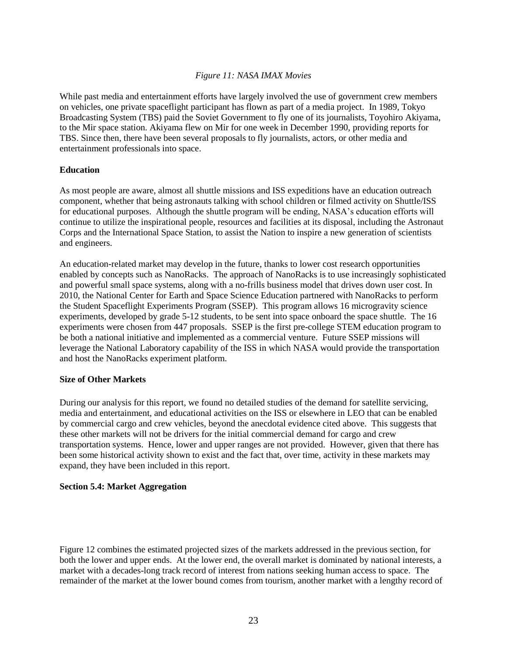## *Figure 11: NASA IMAX Movies*

While past media and entertainment efforts have largely involved the use of government crew members on vehicles, one private spaceflight participant has flown as part of a media project. In 1989, Tokyo Broadcasting System (TBS) paid the Soviet Government to fly one of its journalists, Toyohiro Akiyama, to the Mir space station. Akiyama flew on Mir for one week in December 1990, providing reports for TBS. Since then, there have been several proposals to fly journalists, actors, or other media and entertainment professionals into space.

#### **Education**

As most people are aware, almost all shuttle missions and ISS expeditions have an education outreach component, whether that being astronauts talking with school children or filmed activity on Shuttle/ISS for educational purposes. Although the shuttle program will be ending, NASA's education efforts will continue to utilize the inspirational people, resources and facilities at its disposal, including the Astronaut Corps and the International Space Station, to assist the Nation to inspire a new generation of scientists and engineers.

An education-related market may develop in the future, thanks to lower cost research opportunities enabled by concepts such as NanoRacks. The approach of NanoRacks is to use increasingly sophisticated and powerful small space systems, along with a no-frills business model that drives down user cost. In 2010, the National Center for Earth and Space Science Education partnered with NanoRacks to perform the Student Spaceflight Experiments Program (SSEP). This program allows 16 microgravity science experiments, developed by grade 5-12 students, to be sent into space onboard the space shuttle. The 16 experiments were chosen from 447 proposals. SSEP is the first pre-college STEM education program to be both a national initiative and implemented as a commercial venture. Future SSEP missions will leverage the National Laboratory capability of the ISS in which NASA would provide the transportation and host the NanoRacks experiment platform.

#### **Size of Other Markets**

During our analysis for this report, we found no detailed studies of the demand for satellite servicing, media and entertainment, and educational activities on the ISS or elsewhere in LEO that can be enabled by commercial cargo and crew vehicles, beyond the anecdotal evidence cited above. This suggests that these other markets will not be drivers for the initial commercial demand for cargo and crew transportation systems. Hence, lower and upper ranges are not provided. However, given that there has been some historical activity shown to exist and the fact that, over time, activity in these markets may expand, they have been included in this report.

#### <span id="page-22-0"></span>**Section 5.4: Market Aggregation**

Figure 12 combines the estimated projected sizes of the markets addressed in the previous section, for both the lower and upper ends. At the lower end, the overall market is dominated by national interests, a market with a decades-long track record of interest from nations seeking human access to space. The remainder of the market at the lower bound comes from tourism, another market with a lengthy record of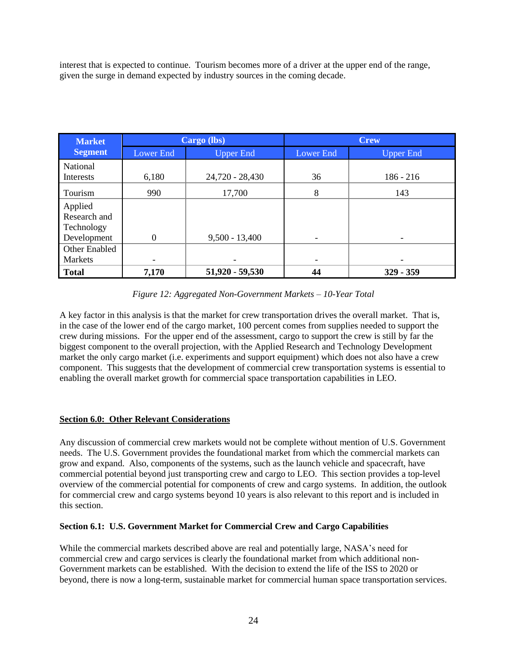interest that is expected to continue. Tourism becomes more of a driver at the upper end of the range, given the surge in demand expected by industry sources in the coming decade.

| <b>Market</b>                                        | Cargo (lbs)      |                   |           | <b>Crew</b>      |
|------------------------------------------------------|------------------|-------------------|-----------|------------------|
| <b>Segment</b>                                       | Lower End        | <b>Upper End</b>  | Lower End | <b>Upper End</b> |
| <b>National</b><br>Interests                         | 6,180            | 24,720 - 28,430   | 36        | $186 - 216$      |
| Tourism                                              | 990              | 17,700            | 8         | 143              |
| Applied<br>Research and<br>Technology<br>Development | $\boldsymbol{0}$ | $9,500 - 13,400$  |           |                  |
| Other Enabled<br>Markets                             |                  | ٠                 |           |                  |
| <b>Total</b>                                         | 7,170            | $51,920 - 59,530$ | 44        | $329 - 359$      |

## *Figure 12: Aggregated Non-Government Markets – 10-Year Total*

A key factor in this analysis is that the market for crew transportation drives the overall market. That is, in the case of the lower end of the cargo market, 100 percent comes from supplies needed to support the crew during missions. For the upper end of the assessment, cargo to support the crew is still by far the biggest component to the overall projection, with the Applied Research and Technology Development market the only cargo market (i.e. experiments and support equipment) which does not also have a crew component. This suggests that the development of commercial crew transportation systems is essential to enabling the overall market growth for commercial space transportation capabilities in LEO.

## <span id="page-23-0"></span>**Section 6.0: Other Relevant Considerations**

Any discussion of commercial crew markets would not be complete without mention of U.S. Government needs. The U.S. Government provides the foundational market from which the commercial markets can grow and expand. Also, components of the systems, such as the launch vehicle and spacecraft, have commercial potential beyond just transporting crew and cargo to LEO. This section provides a top-level overview of the commercial potential for components of crew and cargo systems. In addition, the outlook for commercial crew and cargo systems beyond 10 years is also relevant to this report and is included in this section.

## <span id="page-23-1"></span>**Section 6.1: U.S. Government Market for Commercial Crew and Cargo Capabilities**

While the commercial markets described above are real and potentially large, NASA's need for commercial crew and cargo services is clearly the foundational market from which additional non-Government markets can be established. With the decision to extend the life of the ISS to 2020 or beyond, there is now a long-term, sustainable market for commercial human space transportation services.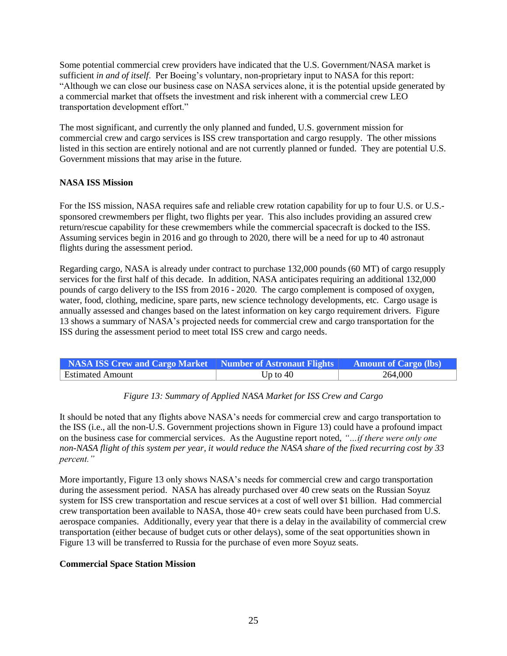Some potential commercial crew providers have indicated that the U.S. Government/NASA market is sufficient *in and of itself*. Per Boeing's voluntary, non-proprietary input to NASA for this report: ―Although we can close our business case on NASA services alone, it is the potential upside generated by a commercial market that offsets the investment and risk inherent with a commercial crew LEO transportation development effort."

The most significant, and currently the only planned and funded, U.S. government mission for commercial crew and cargo services is ISS crew transportation and cargo resupply. The other missions listed in this section are entirely notional and are not currently planned or funded. They are potential U.S. Government missions that may arise in the future.

## **NASA ISS Mission**

For the ISS mission, NASA requires safe and reliable crew rotation capability for up to four U.S. or U.S. sponsored crewmembers per flight, two flights per year. This also includes providing an assured crew return/rescue capability for these crewmembers while the commercial spacecraft is docked to the ISS. Assuming services begin in 2016 and go through to 2020, there will be a need for up to 40 astronaut flights during the assessment period.

Regarding cargo, NASA is already under contract to purchase 132,000 pounds (60 MT) of cargo resupply services for the first half of this decade. In addition, NASA anticipates requiring an additional 132,000 pounds of cargo delivery to the ISS from 2016 - 2020. The cargo complement is composed of oxygen, water, food, clothing, medicine, spare parts, new science technology developments, etc. Cargo usage is annually assessed and changes based on the latest information on key cargo requirement drivers. Figure 13 shows a summary of NASA's projected needs for commercial crew and cargo transportation for the ISS during the assessment period to meet total ISS crew and cargo needs.

| NASA ISS Crew and Cargo Market   Number of Astronaut Flights   Amount of Cargo (lbs) |                    |         |
|--------------------------------------------------------------------------------------|--------------------|---------|
| Estimated Amount                                                                     | Up to $40^{\circ}$ | 264,000 |

#### *Figure 13: Summary of Applied NASA Market for ISS Crew and Cargo*

It should be noted that any flights above NASA's needs for commercial crew and cargo transportation to the ISS (i.e., all the non-U.S. Government projections shown in Figure 13) could have a profound impact on the business case for commercial services. As the Augustine report noted, "...*if there were only one non-NASA flight of this system per year, it would reduce the NASA share of the fixed recurring cost by 33 percent.‖*

More importantly, Figure 13 only shows NASA's needs for commercial crew and cargo transportation during the assessment period. NASA has already purchased over 40 crew seats on the Russian Soyuz system for ISS crew transportation and rescue services at a cost of well over \$1 billion. Had commercial crew transportation been available to NASA, those 40+ crew seats could have been purchased from U.S. aerospace companies. Additionally, every year that there is a delay in the availability of commercial crew transportation (either because of budget cuts or other delays), some of the seat opportunities shown in Figure 13 will be transferred to Russia for the purchase of even more Soyuz seats.

#### **Commercial Space Station Mission**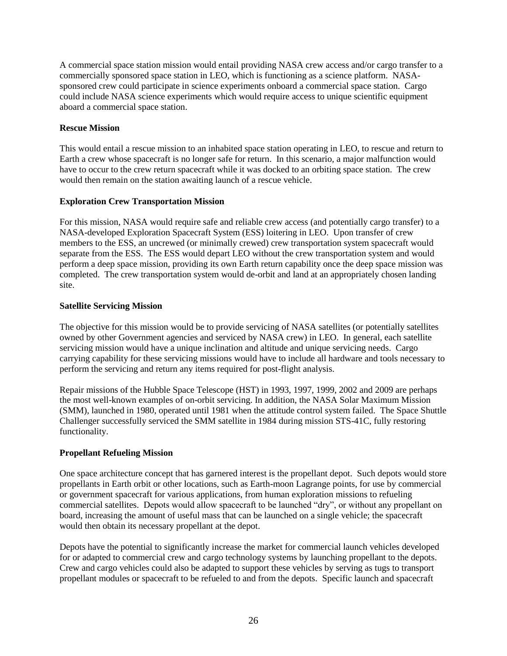A commercial space station mission would entail providing NASA crew access and/or cargo transfer to a commercially sponsored space station in LEO, which is functioning as a science platform. NASAsponsored crew could participate in science experiments onboard a commercial space station. Cargo could include NASA science experiments which would require access to unique scientific equipment aboard a commercial space station.

## **Rescue Mission**

This would entail a rescue mission to an inhabited space station operating in LEO, to rescue and return to Earth a crew whose spacecraft is no longer safe for return. In this scenario, a major malfunction would have to occur to the crew return spacecraft while it was docked to an orbiting space station. The crew would then remain on the station awaiting launch of a rescue vehicle.

## **Exploration Crew Transportation Mission**

For this mission, NASA would require safe and reliable crew access (and potentially cargo transfer) to a NASA-developed Exploration Spacecraft System (ESS) loitering in LEO. Upon transfer of crew members to the ESS, an uncrewed (or minimally crewed) crew transportation system spacecraft would separate from the ESS. The ESS would depart LEO without the crew transportation system and would perform a deep space mission, providing its own Earth return capability once the deep space mission was completed. The crew transportation system would de-orbit and land at an appropriately chosen landing site.

## **Satellite Servicing Mission**

The objective for this mission would be to provide servicing of NASA satellites (or potentially satellites owned by other Government agencies and serviced by NASA crew) in LEO. In general, each satellite servicing mission would have a unique inclination and altitude and unique servicing needs. Cargo carrying capability for these servicing missions would have to include all hardware and tools necessary to perform the servicing and return any items required for post-flight analysis.

Repair missions of the Hubble Space Telescope (HST) in 1993, 1997, 1999, 2002 and 2009 are perhaps the most well-known examples of on-orbit servicing. In addition, the NASA Solar Maximum Mission (SMM), launched in 1980, operated until 1981 when the attitude control system failed. The Space Shuttle Challenger successfully serviced the SMM satellite in 1984 during mission STS-41C, fully restoring functionality.

## **Propellant Refueling Mission**

One space architecture concept that has garnered interest is the propellant depot. Such depots would store propellants in Earth orbit or other locations, such as Earth-moon Lagrange points, for use by commercial or government spacecraft for various applications, from human exploration missions to refueling commercial satellites. Depots would allow spacecraft to be launched "dry", or without any propellant on board, increasing the amount of useful mass that can be launched on a single vehicle; the spacecraft would then obtain its necessary propellant at the depot.

Depots have the potential to significantly increase the market for commercial launch vehicles developed for or adapted to commercial crew and cargo technology systems by launching propellant to the depots. Crew and cargo vehicles could also be adapted to support these vehicles by serving as tugs to transport propellant modules or spacecraft to be refueled to and from the depots. Specific launch and spacecraft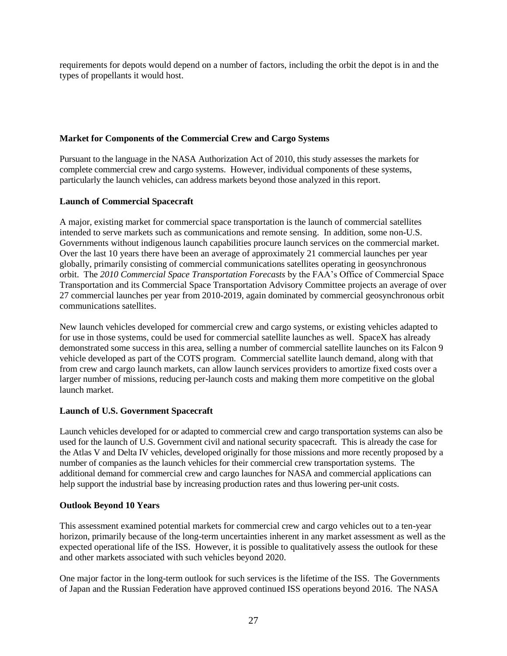requirements for depots would depend on a number of factors, including the orbit the depot is in and the types of propellants it would host.

## **Market for Components of the Commercial Crew and Cargo Systems**

Pursuant to the language in the NASA Authorization Act of 2010, this study assesses the markets for complete commercial crew and cargo systems. However, individual components of these systems, particularly the launch vehicles, can address markets beyond those analyzed in this report.

## **Launch of Commercial Spacecraft**

A major, existing market for commercial space transportation is the launch of commercial satellites intended to serve markets such as communications and remote sensing. In addition, some non-U.S. Governments without indigenous launch capabilities procure launch services on the commercial market. Over the last 10 years there have been an average of approximately 21 commercial launches per year globally, primarily consisting of commercial communications satellites operating in geosynchronous orbit. The *2010 Commercial Space Transportation Forecasts* by the FAA's Office of Commercial Space Transportation and its Commercial Space Transportation Advisory Committee projects an average of over 27 commercial launches per year from 2010-2019, again dominated by commercial geosynchronous orbit communications satellites.

New launch vehicles developed for commercial crew and cargo systems, or existing vehicles adapted to for use in those systems, could be used for commercial satellite launches as well. SpaceX has already demonstrated some success in this area, selling a number of commercial satellite launches on its Falcon 9 vehicle developed as part of the COTS program. Commercial satellite launch demand, along with that from crew and cargo launch markets, can allow launch services providers to amortize fixed costs over a larger number of missions, reducing per-launch costs and making them more competitive on the global launch market.

## **Launch of U.S. Government Spacecraft**

Launch vehicles developed for or adapted to commercial crew and cargo transportation systems can also be used for the launch of U.S. Government civil and national security spacecraft. This is already the case for the Atlas V and Delta IV vehicles, developed originally for those missions and more recently proposed by a number of companies as the launch vehicles for their commercial crew transportation systems. The additional demand for commercial crew and cargo launches for NASA and commercial applications can help support the industrial base by increasing production rates and thus lowering per-unit costs.

#### **Outlook Beyond 10 Years**

This assessment examined potential markets for commercial crew and cargo vehicles out to a ten-year horizon, primarily because of the long-term uncertainties inherent in any market assessment as well as the expected operational life of the ISS. However, it is possible to qualitatively assess the outlook for these and other markets associated with such vehicles beyond 2020.

One major factor in the long-term outlook for such services is the lifetime of the ISS. The Governments of Japan and the Russian Federation have approved continued ISS operations beyond 2016. The NASA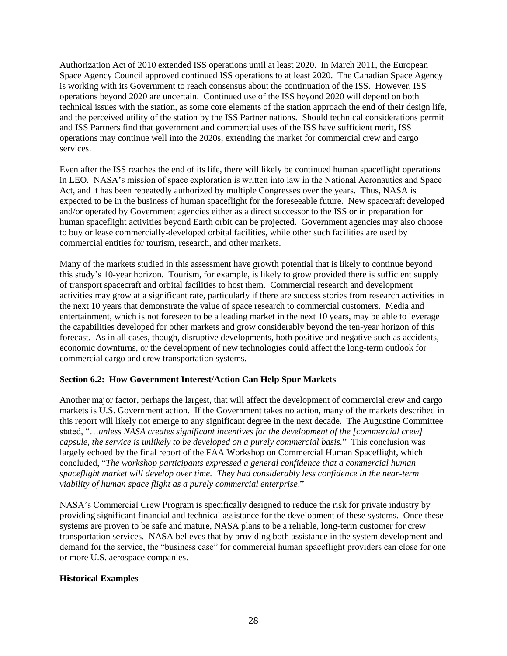Authorization Act of 2010 extended ISS operations until at least 2020. In March 2011, the European Space Agency Council approved continued ISS operations to at least 2020. The Canadian Space Agency is working with its Government to reach consensus about the continuation of the ISS. However, ISS operations beyond 2020 are uncertain. Continued use of the ISS beyond 2020 will depend on both technical issues with the station, as some core elements of the station approach the end of their design life, and the perceived utility of the station by the ISS Partner nations. Should technical considerations permit and ISS Partners find that government and commercial uses of the ISS have sufficient merit, ISS operations may continue well into the 2020s, extending the market for commercial crew and cargo services.

Even after the ISS reaches the end of its life, there will likely be continued human spaceflight operations in LEO. NASA's mission of space exploration is written into law in the National Aeronautics and Space Act, and it has been repeatedly authorized by multiple Congresses over the years. Thus, NASA is expected to be in the business of human spaceflight for the foreseeable future. New spacecraft developed and/or operated by Government agencies either as a direct successor to the ISS or in preparation for human spaceflight activities beyond Earth orbit can be projected. Government agencies may also choose to buy or lease commercially-developed orbital facilities, while other such facilities are used by commercial entities for tourism, research, and other markets.

Many of the markets studied in this assessment have growth potential that is likely to continue beyond this study's 10-year horizon. Tourism, for example, is likely to grow provided there is sufficient supply of transport spacecraft and orbital facilities to host them. Commercial research and development activities may grow at a significant rate, particularly if there are success stories from research activities in the next 10 years that demonstrate the value of space research to commercial customers. Media and entertainment, which is not foreseen to be a leading market in the next 10 years, may be able to leverage the capabilities developed for other markets and grow considerably beyond the ten-year horizon of this forecast. As in all cases, though, disruptive developments, both positive and negative such as accidents, economic downturns, or the development of new technologies could affect the long-term outlook for commercial cargo and crew transportation systems.

#### <span id="page-27-0"></span>**Section 6.2: How Government Interest/Action Can Help Spur Markets**

Another major factor, perhaps the largest, that will affect the development of commercial crew and cargo markets is U.S. Government action. If the Government takes no action, many of the markets described in this report will likely not emerge to any significant degree in the next decade. The Augustine Committee stated, "...unless NASA creates significant incentives for the development of the [commercial crew] *capsule, the service is unlikely to be developed on a purely commercial basis.*‖ This conclusion was largely echoed by the final report of the FAA Workshop on Commercial Human Spaceflight, which concluded, "The workshop participants expressed a general confidence that a commercial human *spaceflight market will develop over time. They had considerably less confidence in the near-term viability of human space flight as a purely commercial enterprise.*"

NASA's Commercial Crew Program is specifically designed to reduce the risk for private industry by providing significant financial and technical assistance for the development of these systems. Once these systems are proven to be safe and mature, NASA plans to be a reliable, long-term customer for crew transportation services. NASA believes that by providing both assistance in the system development and demand for the service, the "business case" for commercial human spaceflight providers can close for one or more U.S. aerospace companies.

#### **Historical Examples**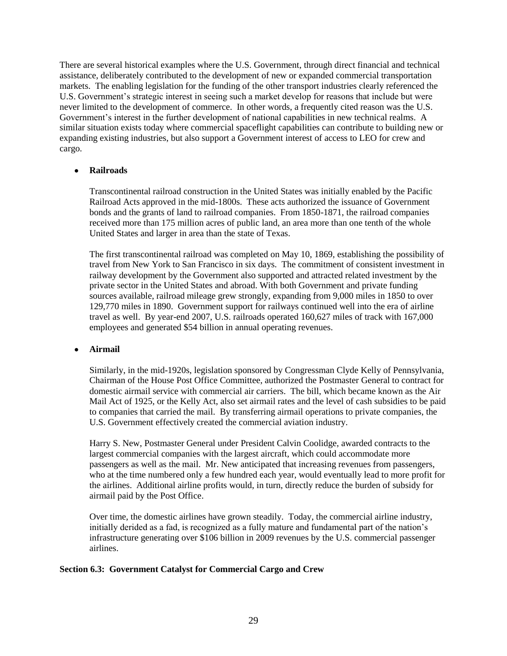There are several historical examples where the U.S. Government, through direct financial and technical assistance, deliberately contributed to the development of new or expanded commercial transportation markets. The enabling legislation for the funding of the other transport industries clearly referenced the U.S. Government's strategic interest in seeing such a market develop for reasons that include but were never limited to the development of commerce. In other words, a frequently cited reason was the U.S. Government's interest in the further development of national capabilities in new technical realms. A similar situation exists today where commercial spaceflight capabilities can contribute to building new or expanding existing industries, but also support a Government interest of access to LEO for crew and cargo.

#### **Railroads**

Transcontinental railroad construction in the United States was initially enabled by the Pacific Railroad Acts approved in the mid-1800s. These acts authorized the issuance of Government bonds and the grants of land to railroad companies. From 1850-1871, the railroad companies received more than 175 million acres of public land, an area more than one tenth of the whole United States and larger in area than the state of Texas.

The first transcontinental railroad was completed on May 10, 1869, establishing the possibility of travel from New York to San Francisco in six days. The commitment of consistent investment in railway development by the Government also supported and attracted related investment by the private sector in the United States and abroad. With both Government and private funding sources available, railroad mileage grew strongly, expanding from 9,000 miles in 1850 to over 129,770 miles in 1890. Government support for railways continued well into the era of airline travel as well. By year-end 2007, U.S. railroads operated 160,627 miles of track with 167,000 employees and generated \$54 billion in annual operating revenues.

## **Airmail**

Similarly, in the mid-1920s, legislation sponsored by Congressman Clyde Kelly of Pennsylvania, Chairman of the House Post Office Committee, authorized the Postmaster General to contract for domestic airmail service with commercial air carriers. The bill, which became known as the Air Mail Act of 1925, or the Kelly Act, also set airmail rates and the level of cash subsidies to be paid to companies that carried the mail. By transferring airmail operations to private companies, the U.S. Government effectively created the commercial aviation industry.

Harry S. New, Postmaster General under President Calvin Coolidge, awarded contracts to the largest commercial companies with the largest aircraft, which could accommodate more passengers as well as the mail. Mr. New anticipated that increasing revenues from passengers, who at the time numbered only a few hundred each year, would eventually lead to more profit for the airlines. Additional airline profits would, in turn, directly reduce the burden of subsidy for airmail paid by the Post Office.

Over time, the domestic airlines have grown steadily. Today, the commercial airline industry, initially derided as a fad, is recognized as a fully mature and fundamental part of the nation's infrastructure generating over \$106 billion in 2009 revenues by the U.S. commercial passenger airlines.

#### <span id="page-28-0"></span>**Section 6.3: Government Catalyst for Commercial Cargo and Crew**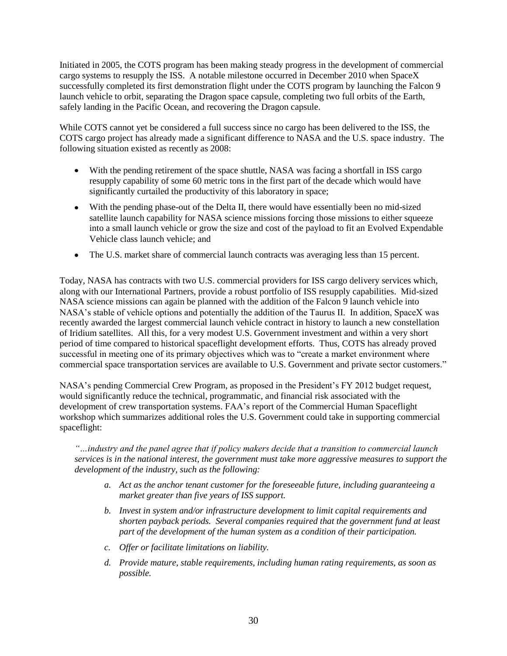Initiated in 2005, the COTS program has been making steady progress in the development of commercial cargo systems to resupply the ISS. A notable milestone occurred in December 2010 when SpaceX successfully completed its first demonstration flight under the COTS program by launching the Falcon 9 launch vehicle to orbit, separating the Dragon space capsule, completing two full orbits of the Earth, safely landing in the Pacific Ocean, and recovering the Dragon capsule.

While COTS cannot yet be considered a full success since no cargo has been delivered to the ISS, the COTS cargo project has already made a significant difference to NASA and the U.S. space industry. The following situation existed as recently as 2008:

- With the pending retirement of the space shuttle, NASA was facing a shortfall in ISS cargo resupply capability of some 60 metric tons in the first part of the decade which would have significantly curtailed the productivity of this laboratory in space;
- With the pending phase-out of the Delta II, there would have essentially been no mid-sized satellite launch capability for NASA science missions forcing those missions to either squeeze into a small launch vehicle or grow the size and cost of the payload to fit an Evolved Expendable Vehicle class launch vehicle; and
- The U.S. market share of commercial launch contracts was averaging less than 15 percent.  $\bullet$

Today, NASA has contracts with two U.S. commercial providers for ISS cargo delivery services which, along with our International Partners, provide a robust portfolio of ISS resupply capabilities. Mid-sized NASA science missions can again be planned with the addition of the Falcon 9 launch vehicle into NASA's stable of vehicle options and potentially the addition of the Taurus II. In addition, SpaceX was recently awarded the largest commercial launch vehicle contract in history to launch a new constellation of Iridium satellites. All this, for a very modest U.S. Government investment and within a very short period of time compared to historical spaceflight development efforts. Thus, COTS has already proved successful in meeting one of its primary objectives which was to "create a market environment where commercial space transportation services are available to U.S. Government and private sector customers."

NASA's pending Commercial Crew Program, as proposed in the President's FY 2012 budget request, would significantly reduce the technical, programmatic, and financial risk associated with the development of crew transportation systems. FAA's report of the Commercial Human Spaceflight workshop which summarizes additional roles the U.S. Government could take in supporting commercial spaceflight:

*―…industry and the panel agree that if policy makers decide that a transition to commercial launch services is in the national interest, the government must take more aggressive measures to support the development of the industry, such as the following:* 

- *a. Act as the anchor tenant customer for the foreseeable future, including guaranteeing a market greater than five years of ISS support.*
- *b. Invest in system and/or infrastructure development to limit capital requirements and shorten payback periods. Several companies required that the government fund at least part of the development of the human system as a condition of their participation.*
- *c. Offer or facilitate limitations on liability.*
- *d. Provide mature, stable requirements, including human rating requirements, as soon as possible.*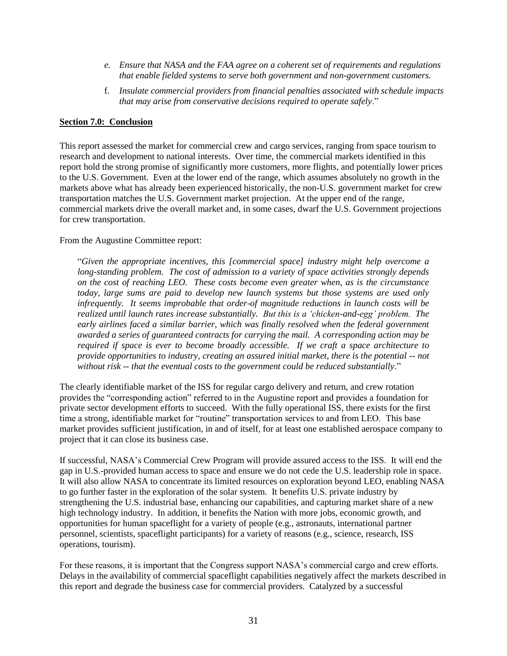- *e. Ensure that NASA and the FAA agree on a coherent set of requirements and regulations that enable fielded systems to serve both government and non-government customers.*
- f. *Insulate commercial providers from financial penalties associated with schedule impacts that may arise from conservative decisions required to operate safely.*"

#### <span id="page-30-0"></span>**Section 7.0: Conclusion**

This report assessed the market for commercial crew and cargo services, ranging from space tourism to research and development to national interests. Over time, the commercial markets identified in this report hold the strong promise of significantly more customers, more flights, and potentially lower prices to the U.S. Government. Even at the lower end of the range, which assumes absolutely no growth in the markets above what has already been experienced historically, the non-U.S. government market for crew transportation matches the U.S. Government market projection. At the upper end of the range, commercial markets drive the overall market and, in some cases, dwarf the U.S. Government projections for crew transportation.

#### From the Augustine Committee report:

―*Given the appropriate incentives, this [commercial space] industry might help overcome a long-standing problem. The cost of admission to a variety of space activities strongly depends on the cost of reaching LEO. These costs become even greater when, as is the circumstance today, large sums are paid to develop new launch systems but those systems are used only infrequently. It seems improbable that order-of magnitude reductions in launch costs will be realized until launch rates increase substantially. But this is a ‗chicken-and-egg' problem. The early airlines faced a similar barrier, which was finally resolved when the federal government awarded a series of guaranteed contracts for carrying the mail. A corresponding action may be required if space is ever to become broadly accessible. If we craft a space architecture to provide opportunities to industry, creating an assured initial market, there is the potential -- not*  without risk -- *that the eventual costs to the government could be reduced substantially*."

The clearly identifiable market of the ISS for regular cargo delivery and return, and crew rotation provides the "corresponding action" referred to in the Augustine report and provides a foundation for private sector development efforts to succeed. With the fully operational ISS, there exists for the first time a strong, identifiable market for "routine" transportation services to and from LEO. This base market provides sufficient justification, in and of itself, for at least one established aerospace company to project that it can close its business case.

If successful, NASA's Commercial Crew Program will provide assured access to the ISS. It will end the gap in U.S.-provided human access to space and ensure we do not cede the U.S. leadership role in space. It will also allow NASA to concentrate its limited resources on exploration beyond LEO, enabling NASA to go further faster in the exploration of the solar system. It benefits U.S. private industry by strengthening the U.S. industrial base, enhancing our capabilities, and capturing market share of a new high technology industry. In addition, it benefits the Nation with more jobs, economic growth, and opportunities for human spaceflight for a variety of people (e.g., astronauts, international partner personnel, scientists, spaceflight participants) for a variety of reasons (e.g., science, research, ISS operations, tourism).

For these reasons, it is important that the Congress support NASA's commercial cargo and crew efforts. Delays in the availability of commercial spaceflight capabilities negatively affect the markets described in this report and degrade the business case for commercial providers. Catalyzed by a successful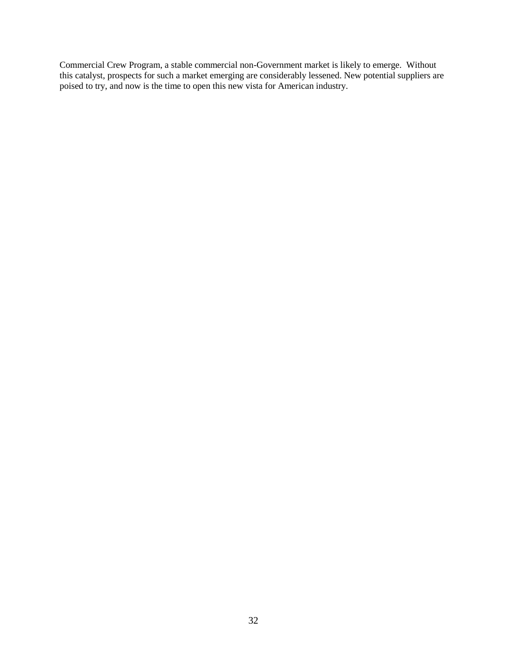Commercial Crew Program, a stable commercial non-Government market is likely to emerge. Without this catalyst, prospects for such a market emerging are considerably lessened. New potential suppliers are poised to try, and now is the time to open this new vista for American industry.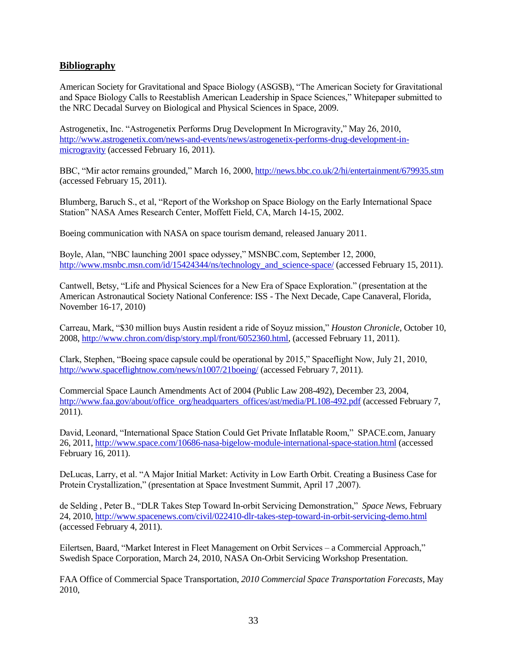## <span id="page-32-0"></span>**Bibliography**

American Society for Gravitational and Space Biology (ASGSB), "The American Society for Gravitational and Space Biology Calls to Reestablish American Leadership in Space Sciences," Whitepaper submitted to the NRC Decadal Survey on Biological and Physical Sciences in Space, 2009.

Astrogenetix, Inc. "Astrogenetix Performs Drug Development In Microgravity," May 26, 2010, [http://www.astrogenetix.com/news-and-events/news/astrogenetix-performs-drug-development-in](http://www.astrogenetix.com/news-and-events/news/astrogenetix-performs-drug-development-in-microgravity)[microgravity](http://www.astrogenetix.com/news-and-events/news/astrogenetix-performs-drug-development-in-microgravity) (accessed February 16, 2011).

BBC, "Mir actor remains grounded," March 16, 2000,<http://news.bbc.co.uk/2/hi/entertainment/679935.stm> (accessed February 15, 2011).

Blumberg, Baruch S., et al, "Report of the Workshop on Space Biology on the Early International Space Station" NASA Ames Research Center, Moffett Field, CA, March 14-15, 2002.

Boeing communication with NASA on space tourism demand, released January 2011.

Boyle, Alan, "NBC launching 2001 space odyssey," MSNBC.com, September 12, 2000, [http://www.msnbc.msn.com/id/15424344/ns/technology\\_and\\_science-space/](http://www.msnbc.msn.com/id/15424344/ns/technology_and_science-space/) (accessed February 15, 2011).

Cantwell, Betsy, "Life and Physical Sciences for a New Era of Space Exploration." (presentation at the American Astronautical Society National Conference: ISS - The Next Decade, Cape Canaveral, Florida, November 16-17, 2010)

Carreau, Mark, "\$30 million buys Austin resident a ride of Soyuz mission," *Houston Chronicle*, October 10, 2008, [http://www.chron.com/disp/story.mpl/front/6052360.html,](http://www.chron.com/disp/story.mpl/front/6052360.html) (accessed February 11, 2011).

Clark, Stephen, "Boeing space capsule could be operational by 2015," Spaceflight Now, July 21, 2010, <http://www.spaceflightnow.com/news/n1007/21boeing/> (accessed February 7, 2011).

Commercial Space Launch Amendments Act of 2004 (Public Law 208-492), December 23, 2004, [http://www.faa.gov/about/office\\_org/headquarters\\_offices/ast/media/PL108-492.pdf](http://www.faa.gov/about/office_org/headquarters_offices/ast/media/PL108-492.pdf) (accessed February 7, 2011).

David, Leonard, "International Space Station Could Get Private Inflatable Room," SPACE.com, January 26, 2011,<http://www.space.com/10686-nasa-bigelow-module-international-space-station.html> (accessed February 16, 2011).

DeLucas, Larry, et al. "A Major Initial Market: Activity in Low Earth Orbit. Creating a Business Case for Protein Crystallization," (presentation at Space Investment Summit, April 17, 2007).

de Selding, Peter B., "DLR Takes Step Toward In-orbit Servicing Demonstration," Space News, February 24, 2010,<http://www.spacenews.com/civil/022410-dlr-takes-step-toward-in-orbit-servicing-demo.html> (accessed February 4, 2011).

Eilertsen, Baard, "Market Interest in Fleet Management on Orbit Services – a Commercial Approach," Swedish Space Corporation, March 24, 2010, NASA On-Orbit Servicing Workshop Presentation.

FAA Office of Commercial Space Transportation, *2010 Commercial Space Transportation Forecasts*, May 2010,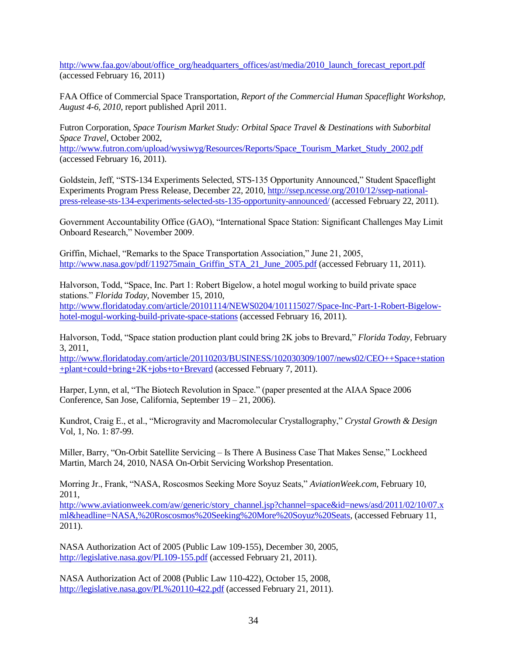[http://www.faa.gov/about/office\\_org/headquarters\\_offices/ast/media/2010\\_launch\\_forecast\\_report.pdf](http://www.faa.gov/about/office_org/headquarters_offices/ast/media/2010_launch_forecast_report.pdf) (accessed February 16, 2011)

FAA Office of Commercial Space Transportation, *Report of the Commercial Human Spaceflight Workshop, August 4-6, 2010*, report published April 2011.

Futron Corporation, *Space Tourism Market Study: Orbital Space Travel & Destinations with Suborbital Space Travel*, October 2002,

[http://www.futron.com/upload/wysiwyg/Resources/Reports/Space\\_Tourism\\_Market\\_Study\\_2002.pdf](http://www.futron.com/upload/wysiwyg/Resources/Reports/Space_Tourism_Market_Study_2002.pdf) (accessed February 16, 2011).

Goldstein, Jeff, "STS-134 Experiments Selected, STS-135 Opportunity Announced," Student Spaceflight Experiments Program Press Release, December 22, 2010, [http://ssep.ncesse.org/2010/12/ssep-national](http://ssep.ncesse.org/2010/12/ssep-national-press-release-sts-134-experiments-selected-sts-135-opportunity-announced/)[press-release-sts-134-experiments-selected-sts-135-opportunity-announced/](http://ssep.ncesse.org/2010/12/ssep-national-press-release-sts-134-experiments-selected-sts-135-opportunity-announced/) (accessed February 22, 2011).

Government Accountability Office (GAO), "International Space Station: Significant Challenges May Limit Onboard Research," November 2009.

Griffin, Michael, "Remarks to the Space Transportation Association," June 21, 2005, [http://www.nasa.gov/pdf/119275main\\_Griffin\\_STA\\_21\\_June\\_2005.pdf](http://www.nasa.gov/pdf/119275main_Griffin_STA_21_June_2005.pdf) (accessed February 11, 2011).

Halvorson, Todd, "Space, Inc. Part 1: Robert Bigelow, a hotel mogul working to build private space stations.‖ *Florida Today*, November 15, 2010, [http://www.floridatoday.com/article/20101114/NEWS0204/101115027/Space-Inc-Part-1-Robert-Bigelow](http://www.floridatoday.com/article/20101114/NEWS0204/101115027/Space-Inc-Part-1-Robert-Bigelow-hotel-mogul-working-build-private-space-stations)[hotel-mogul-working-build-private-space-stations](http://www.floridatoday.com/article/20101114/NEWS0204/101115027/Space-Inc-Part-1-Robert-Bigelow-hotel-mogul-working-build-private-space-stations) (accessed February 16, 2011).

Halvorson, Todd, "Space station production plant could bring 2K jobs to Brevard," *Florida Today*, February 3, 2011,

[http://www.floridatoday.com/article/20110203/BUSINESS/102030309/1007/news02/CEO++Space+station](http://www.floridatoday.com/article/20110203/BUSINESS/102030309/1007/news02/CEO++Space+station+plant+could+bring+2K+jobs+to+Brevard) [+plant+could+bring+2K+jobs+to+Brevard](http://www.floridatoday.com/article/20110203/BUSINESS/102030309/1007/news02/CEO++Space+station+plant+could+bring+2K+jobs+to+Brevard) (accessed February 7, 2011).

Harper, Lynn, et al, "The Biotech Revolution in Space." (paper presented at the AIAA Space 2006 Conference, San Jose, California, September 19 – 21, 2006).

Kundrot, Craig E., et al., "Microgravity and Macromolecular Crystallography," Crystal Growth & Design Vol, 1, No. 1: 87-99.

Miller, Barry, "On-Orbit Satellite Servicing – Is There A Business Case That Makes Sense," Lockheed Martin, March 24, 2010, NASA On-Orbit Servicing Workshop Presentation.

Morring Jr., Frank, "NASA, Roscosmos Seeking More Soyuz Seats," *AviationWeek.com*, February 10, 2011,

[http://www.aviationweek.com/aw/generic/story\\_channel.jsp?channel=space&id=news/asd/2011/02/10/07.x](http://www.aviationweek.com/aw/generic/story_channel.jsp?channel=space&id=news/asd/2011/02/10/07.xml&headline=NASA,%20Roscosmos%20Seeking%20More%20Soyuz%20Seats) [ml&headline=NASA,%20Roscosmos%20Seeking%20More%20Soyuz%20Seats,](http://www.aviationweek.com/aw/generic/story_channel.jsp?channel=space&id=news/asd/2011/02/10/07.xml&headline=NASA,%20Roscosmos%20Seeking%20More%20Soyuz%20Seats) (accessed February 11, 2011).

NASA Authorization Act of 2005 (Public Law 109-155), December 30, 2005, <http://legislative.nasa.gov/PL109-155.pdf> (accessed February 21, 2011).

NASA Authorization Act of 2008 (Public Law 110-422), October 15, 2008, <http://legislative.nasa.gov/PL%20110-422.pdf> (accessed February 21, 2011).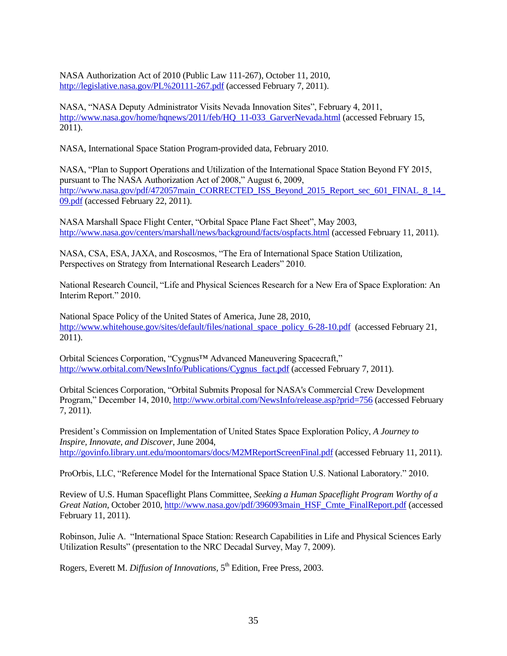NASA Authorization Act of 2010 (Public Law 111-267), October 11, 2010, <http://legislative.nasa.gov/PL%20111-267.pdf> (accessed February 7, 2011).

NASA, "NASA Deputy Administrator Visits Nevada Innovation Sites", February 4, 2011, [http://www.nasa.gov/home/hqnews/2011/feb/HQ\\_11-033\\_GarverNevada.html](http://www.nasa.gov/home/hqnews/2011/feb/HQ_11-033_GarverNevada.html) (accessed February 15, 2011).

NASA, International Space Station Program-provided data, February 2010.

NASA, "Plan to Support Operations and Utilization of the International Space Station Beyond FY 2015, pursuant to The NASA Authorization Act of 2008," August 6, 2009, [http://www.nasa.gov/pdf/472057main\\_CORRECTED\\_ISS\\_Beyond\\_2015\\_Report\\_sec\\_601\\_FINAL\\_8\\_14\\_](http://www.nasa.gov/pdf/472057main_CORRECTED_ISS_Beyond_2015_Report_sec_601_FINAL_8_14_09.pdf) [09.pdf](http://www.nasa.gov/pdf/472057main_CORRECTED_ISS_Beyond_2015_Report_sec_601_FINAL_8_14_09.pdf) (accessed February 22, 2011).

NASA Marshall Space Flight Center, "Orbital Space Plane Fact Sheet", May 2003, <http://www.nasa.gov/centers/marshall/news/background/facts/ospfacts.html> (accessed February 11, 2011).

NASA, CSA, ESA, JAXA, and Roscosmos, "The Era of International Space Station Utilization, Perspectives on Strategy from International Research Leaders" 2010.

National Research Council, "Life and Physical Sciences Research for a New Era of Space Exploration: An Interim Report." 2010.

National Space Policy of the United States of America, June 28, 2010, [http://www.whitehouse.gov/sites/default/files/national\\_space\\_policy\\_6-28-10.pdf](http://www.whitehouse.gov/sites/default/files/national_space_policy_6-28-10.pdf) (accessed February 21, 2011).

Orbital Sciences Corporation, "Cygnus™ Advanced Maneuvering Spacecraft," [http://www.orbital.com/NewsInfo/Publications/Cygnus\\_fact.pdf](http://www.orbital.com/NewsInfo/Publications/Cygnus_fact.pdf) (accessed February 7, 2011).

Orbital Sciences Corporation, "Orbital Submits Proposal for NASA's Commercial Crew Development Program,‖ December 14, 2010,<http://www.orbital.com/NewsInfo/release.asp?prid=756> (accessed February 7, 2011).

President's Commission on Implementation of United States Space Exploration Policy, *A Journey to Inspire, Innovate, and Discover*, June 2004, <http://govinfo.library.unt.edu/moontomars/docs/M2MReportScreenFinal.pdf> (accessed February 11, 2011).

ProOrbis, LLC, "Reference Model for the International Space Station U.S. National Laboratory." 2010.

Review of U.S. Human Spaceflight Plans Committee, *Seeking a Human Spaceflight Program Worthy of a Great Nation*, October 2010[, http://www.nasa.gov/pdf/396093main\\_HSF\\_Cmte\\_FinalReport.pdf](http://www.nasa.gov/pdf/396093main_HSF_Cmte_FinalReport.pdf) (accessed February 11, 2011).

Robinson, Julie A. "International Space Station: Research Capabilities in Life and Physical Sciences Early Utilization Results" (presentation to the NRC Decadal Survey, May 7, 2009).

Rogers, Everett M. *Diffusion of Innovations*, 5<sup>th</sup> Edition, Free Press, 2003.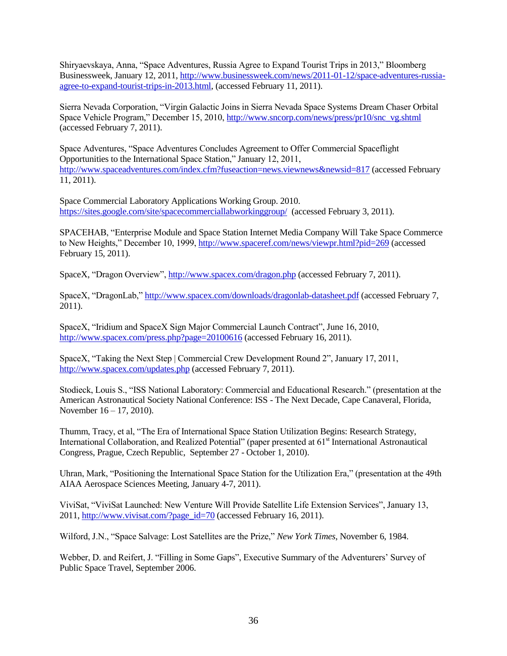Shiryaevskaya, Anna, "Space Adventures, Russia Agree to Expand Tourist Trips in 2013," Bloomberg Businessweek, January 12, 2011[, http://www.businessweek.com/news/2011-01-12/space-adventures-russia](http://www.businessweek.com/news/2011-01-12/space-adventures-russia-agree-to-expand-tourist-trips-in-2013.html)[agree-to-expand-tourist-trips-in-2013.html,](http://www.businessweek.com/news/2011-01-12/space-adventures-russia-agree-to-expand-tourist-trips-in-2013.html) (accessed February 11, 2011).

Sierra Nevada Corporation, "Virgin Galactic Joins in Sierra Nevada Space Systems Dream Chaser Orbital Space Vehicle Program," December 15, 2010, [http://www.sncorp.com/news/press/pr10/snc\\_vg.shtml](http://www.sncorp.com/news/press/pr10/snc_vg.shtml) (accessed February 7, 2011).

Space Adventures, "Space Adventures Concludes Agreement to Offer Commercial Spaceflight Opportunities to the International Space Station," January 12, 2011, <http://www.spaceadventures.com/index.cfm?fuseaction=news.viewnews&newsid=817> (accessed February 11, 2011).

Space Commercial Laboratory Applications Working Group. 2010. <https://sites.google.com/site/spacecommerciallabworkinggroup/>(accessed February 3, 2011).

SPACEHAB, "Enterprise Module and Space Station Internet Media Company Will Take Space Commerce to New Heights," December 10, 1999,<http://www.spaceref.com/news/viewpr.html?pid=269> (accessed February 15, 2011).

SpaceX, "Dragon Overview",<http://www.spacex.com/dragon.php> (accessed February 7, 2011).

SpaceX, "DragonLab,"<http://www.spacex.com/downloads/dragonlab-datasheet.pdf> (accessed February 7, 2011).

SpaceX, "Iridium and SpaceX Sign Major Commercial Launch Contract", June 16, 2010, <http://www.spacex.com/press.php?page=20100616> (accessed February 16, 2011).

SpaceX, "Taking the Next Step | Commercial Crew Development Round 2", January 17, 2011, <http://www.spacex.com/updates.php> (accessed February 7, 2011).

Stodieck, Louis S., "ISS National Laboratory: Commercial and Educational Research." (presentation at the American Astronautical Society National Conference: ISS - The Next Decade, Cape Canaveral, Florida, November 16 – 17, 2010).

Thumm, Tracy, et al, "The Era of International Space Station Utilization Begins: Research Strategy, International Collaboration, and Realized Potential" (paper presented at 61<sup>st</sup> International Astronautical Congress, Prague, Czech Republic, September 27 - October 1, 2010).

Uhran, Mark, "Positioning the International Space Station for the Utilization Era," (presentation at the 49th AIAA Aerospace Sciences Meeting, January 4-7, 2011).

ViviSat, "ViviSat Launched: New Venture Will Provide Satellite Life Extension Services", January 13, 2011, [http://www.vivisat.com/?page\\_id=70](http://www.vivisat.com/?page_id=70) (accessed February 16, 2011).

Wilford, J.N., "Space Salvage: Lost Satellites are the Prize," *New York Times*, November 6, 1984.

Webber, D. and Reifert, J. "Filling in Some Gaps", Executive Summary of the Adventurers' Survey of Public Space Travel, September 2006.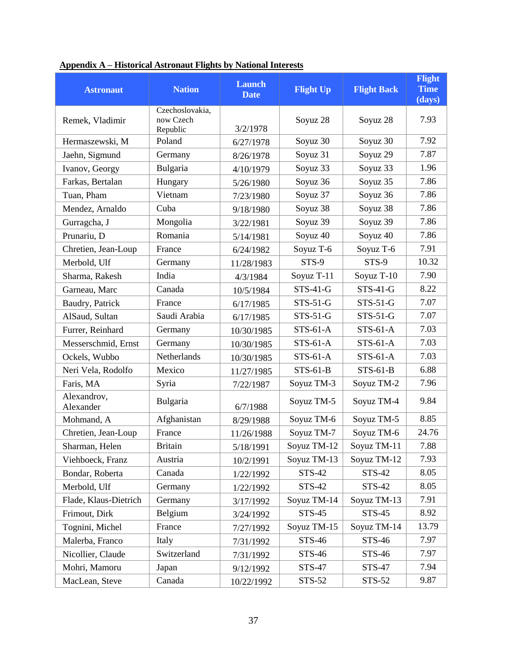| <b>Astronaut</b>         | <b>Nation</b>                            | <b>Launch</b><br><b>Date</b> | <b>Flight Up</b> | <b>Flight Back</b> | <b>Flight</b><br><b>Time</b><br>(days) |
|--------------------------|------------------------------------------|------------------------------|------------------|--------------------|----------------------------------------|
| Remek, Vladimir          | Czechoslovakia,<br>now Czech<br>Republic | 3/2/1978                     | Soyuz 28         | Soyuz 28           | 7.93                                   |
| Hermaszewski, M          | Poland                                   | 6/27/1978                    | Soyuz 30         | Soyuz 30           | 7.92                                   |
| Jaehn, Sigmund           | Germany                                  | 8/26/1978                    | Soyuz 31         | Soyuz 29           | 7.87                                   |
| Ivanov, Georgy           | Bulgaria                                 | 4/10/1979                    | Soyuz 33         | Soyuz 33           | 1.96                                   |
| Farkas, Bertalan         | Hungary                                  | 5/26/1980                    | Soyuz 36         | Soyuz 35           | 7.86                                   |
| Tuan, Pham               | Vietnam                                  | 7/23/1980                    | Soyuz 37         | Soyuz 36           | 7.86                                   |
| Mendez, Arnaldo          | Cuba                                     | 9/18/1980                    | Soyuz 38         | Soyuz 38           | 7.86                                   |
| Gurragcha, J             | Mongolia                                 | 3/22/1981                    | Soyuz 39         | Soyuz 39           | 7.86                                   |
| Prunariu, D              | Romania                                  | 5/14/1981                    | Soyuz 40         | Soyuz 40           | 7.86                                   |
| Chretien, Jean-Loup      | France                                   | 6/24/1982                    | Soyuz T-6        | Soyuz T-6          | 7.91                                   |
| Merbold, Ulf             | Germany                                  | 11/28/1983                   | STS-9            | STS-9              | 10.32                                  |
| Sharma, Rakesh           | India                                    | 4/3/1984                     | Soyuz T-11       | Soyuz T-10         | 7.90                                   |
| Garneau, Marc            | Canada                                   | 10/5/1984                    | $STS-41-G$       | $STS-41-G$         | 8.22                                   |
| Baudry, Patrick          | France                                   | 6/17/1985                    | $STS-51-G$       | $STS-51-G$         | 7.07                                   |
| AlSaud, Sultan           | Saudi Arabia                             | 6/17/1985                    | $STS-51-G$       | $STS-51-G$         | 7.07                                   |
| Furrer, Reinhard         | Germany                                  | 10/30/1985                   | $STS-61-A$       | $STS-61-A$         | 7.03                                   |
| Messerschmid, Ernst      | Germany                                  | 10/30/1985                   | $STS-61-A$       | $STS-61-A$         | 7.03                                   |
| Ockels, Wubbo            | Netherlands                              | 10/30/1985                   | $STS-61-A$       | $STS-61-A$         | 7.03                                   |
| Neri Vela, Rodolfo       | Mexico                                   | 11/27/1985                   | $STS-61-B$       | $STS-61-B$         | 6.88                                   |
| Faris, MA                | Syria                                    | 7/22/1987                    | Soyuz TM-3       | Soyuz TM-2         | 7.96                                   |
| Alexandrov,<br>Alexander | Bulgaria                                 | 6/7/1988                     | Soyuz TM-5       | Soyuz TM-4         | 9.84                                   |
| Mohmand, A               | Afghanistan                              | 8/29/1988                    | Soyuz TM-6       | Soyuz TM-5         | 8.85                                   |
| Chretien, Jean-Loup      | France                                   | 11/26/1988                   | Soyuz TM-7       | Soyuz TM-6         | 24.76                                  |
| Sharman, Helen           | Britain                                  | 5/18/1991                    | Soyuz TM-12      | Soyuz TM-11        | 7.88                                   |
| Viehboeck, Franz         | Austria                                  | 10/2/1991                    | Soyuz TM-13      | Soyuz TM-12        | 7.93                                   |
| Bondar, Roberta          | Canada                                   | 1/22/1992                    | STS-42           | <b>STS-42</b>      | 8.05                                   |
| Merbold, Ulf             | Germany                                  | 1/22/1992                    | STS-42           | STS-42             | 8.05                                   |
| Flade, Klaus-Dietrich    | Germany                                  | 3/17/1992                    | Soyuz TM-14      | Soyuz TM-13        | 7.91                                   |
| Frimout, Dirk            | Belgium                                  | 3/24/1992                    | <b>STS-45</b>    | <b>STS-45</b>      | 8.92                                   |
| Tognini, Michel          | France                                   | 7/27/1992                    | Soyuz TM-15      | Soyuz TM-14        | 13.79                                  |
| Malerba, Franco          | Italy                                    | 7/31/1992                    | STS-46           | STS-46             | 7.97                                   |
| Nicollier, Claude        | Switzerland                              | 7/31/1992                    | STS-46           | STS-46             | 7.97                                   |
| Mohri, Mamoru            | Japan                                    | 9/12/1992                    | STS-47           | STS-47             | 7.94                                   |
| MacLean, Steve           | Canada                                   | 10/22/1992                   | STS-52           | STS-52             | 9.87                                   |

## <span id="page-36-0"></span>**Appendix A – Historical Astronaut Flights by National Interests**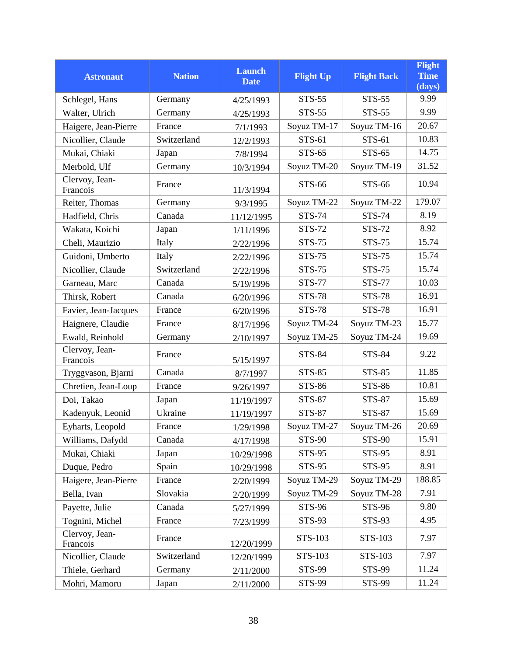|                            |               | <b>Launch</b> |                  |                    | <b>Flight</b>         |
|----------------------------|---------------|---------------|------------------|--------------------|-----------------------|
| <b>Astronaut</b>           | <b>Nation</b> | <b>Date</b>   | <b>Flight Up</b> | <b>Flight Back</b> | <b>Time</b><br>(days) |
| Schlegel, Hans             | Germany       | 4/25/1993     | STS-55           | <b>STS-55</b>      | 9.99                  |
| Walter, Ulrich             | Germany       | 4/25/1993     | <b>STS-55</b>    | <b>STS-55</b>      | 9.99                  |
| Haigere, Jean-Pierre       | France        | 7/1/1993      | Soyuz TM-17      | Soyuz TM-16        | 20.67                 |
| Nicollier, Claude          | Switzerland   | 12/2/1993     | STS-61           | STS-61             | 10.83                 |
| Mukai, Chiaki              | Japan         | 7/8/1994      | STS-65           | STS-65             | 14.75                 |
| Merbold, Ulf               | Germany       | 10/3/1994     | Soyuz TM-20      | Soyuz TM-19        | 31.52                 |
| Clervoy, Jean-<br>Francois | France        | 11/3/1994     | STS-66           | STS-66             | 10.94                 |
| Reiter, Thomas             | Germany       | 9/3/1995      | Soyuz TM-22      | Soyuz TM-22        | 179.07                |
| Hadfield, Chris            | Canada        | 11/12/1995    | <b>STS-74</b>    | <b>STS-74</b>      | 8.19                  |
| Wakata, Koichi             | Japan         | 1/11/1996     | STS-72           | <b>STS-72</b>      | 8.92                  |
| Cheli, Maurizio            | Italy         | 2/22/1996     | <b>STS-75</b>    | <b>STS-75</b>      | 15.74                 |
| Guidoni, Umberto           | Italy         | 2/22/1996     | STS-75           | STS-75             | 15.74                 |
| Nicollier, Claude          | Switzerland   | 2/22/1996     | <b>STS-75</b>    | <b>STS-75</b>      | 15.74                 |
| Garneau, Marc              | Canada        | 5/19/1996     | <b>STS-77</b>    | <b>STS-77</b>      | 10.03                 |
| Thirsk, Robert             | Canada        | 6/20/1996     | <b>STS-78</b>    | <b>STS-78</b>      | 16.91                 |
| Favier, Jean-Jacques       | France        | 6/20/1996     | <b>STS-78</b>    | <b>STS-78</b>      | 16.91                 |
| Haignere, Claudie          | France        | 8/17/1996     | Soyuz TM-24      | Soyuz TM-23        | 15.77                 |
| Ewald, Reinhold            | Germany       | 2/10/1997     | Soyuz TM-25      | Soyuz TM-24        | 19.69                 |
| Clervoy, Jean-<br>Francois | France        | 5/15/1997     | <b>STS-84</b>    | <b>STS-84</b>      | 9.22                  |
| Tryggvason, Bjarni         | Canada        | 8/7/1997      | <b>STS-85</b>    | <b>STS-85</b>      | 11.85                 |
| Chretien, Jean-Loup        | France        | 9/26/1997     | <b>STS-86</b>    | <b>STS-86</b>      | 10.81                 |
| Doi, Takao                 | Japan         | 11/19/1997    | <b>STS-87</b>    | <b>STS-87</b>      | 15.69                 |
| Kadenyuk, Leonid           | Ukraine       | 11/19/1997    | <b>STS-87</b>    | <b>STS-87</b>      | 15.69                 |
| Eyharts, Leopold           | France        | 1/29/1998     | Soyuz TM-27      | Soyuz TM-26        | 20.69                 |
| Williams, Dafydd           | Canada        | 4/17/1998     | <b>STS-90</b>    | <b>STS-90</b>      | 15.91                 |
| Mukai, Chiaki              | Japan         | 10/29/1998    | <b>STS-95</b>    | <b>STS-95</b>      | 8.91                  |
| Duque, Pedro               | Spain         | 10/29/1998    | <b>STS-95</b>    | <b>STS-95</b>      | 8.91                  |
| Haigere, Jean-Pierre       | France        | 2/20/1999     | Soyuz TM-29      | Soyuz TM-29        | 188.85                |
| Bella, Ivan                | Slovakia      | 2/20/1999     | Soyuz TM-29      | Soyuz TM-28        | 7.91                  |
| Payette, Julie             | Canada        | 5/27/1999     | <b>STS-96</b>    | <b>STS-96</b>      | 9.80                  |
| Tognini, Michel            | France        | 7/23/1999     | STS-93           | <b>STS-93</b>      | 4.95                  |
| Clervoy, Jean-<br>Francois | France        | 12/20/1999    | STS-103          | STS-103            | 7.97                  |
| Nicollier, Claude          | Switzerland   | 12/20/1999    | STS-103          | STS-103            | 7.97                  |
| Thiele, Gerhard            | Germany       | 2/11/2000     | <b>STS-99</b>    | <b>STS-99</b>      | 11.24                 |
| Mohri, Mamoru              | Japan         | 2/11/2000     | STS-99           | STS-99             | 11.24                 |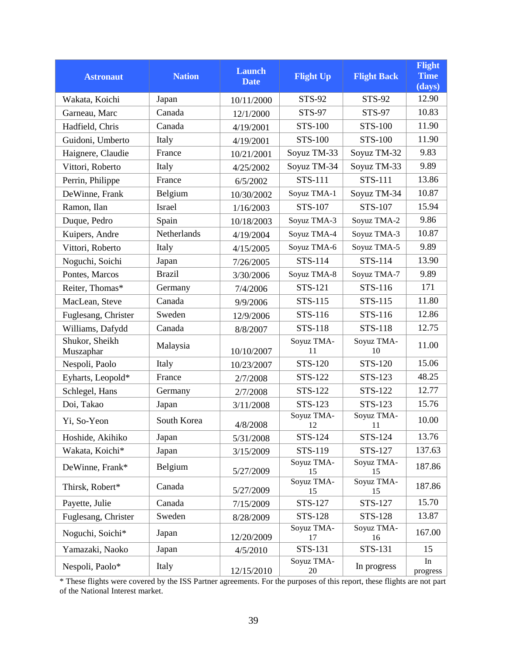| <b>Astronaut</b>            | <b>Nation</b> | <b>Launch</b><br><b>Date</b> | <b>Flight Up</b> | <b>Flight Back</b> | <b>Flight</b><br><b>Time</b><br>(days) |
|-----------------------------|---------------|------------------------------|------------------|--------------------|----------------------------------------|
| Wakata, Koichi              | Japan         | 10/11/2000                   | STS-92           | STS-92             | 12.90                                  |
| Garneau, Marc               | Canada        | 12/1/2000                    | STS-97           | STS-97             | 10.83                                  |
| Hadfield, Chris             | Canada        | 4/19/2001                    | STS-100          | <b>STS-100</b>     | 11.90                                  |
| Guidoni, Umberto            | Italy         | 4/19/2001                    | STS-100          | STS-100            | 11.90                                  |
| Haignere, Claudie           | France        | 10/21/2001                   | Soyuz TM-33      | Soyuz TM-32        | 9.83                                   |
| Vittori, Roberto            | Italy         | 4/25/2002                    | Soyuz TM-34      | Soyuz TM-33        | 9.89                                   |
| Perrin, Philippe            | France        | 6/5/2002                     | STS-111          | <b>STS-111</b>     | 13.86                                  |
| DeWinne, Frank              | Belgium       | 10/30/2002                   | Soyuz TMA-1      | Soyuz TM-34        | 10.87                                  |
| Ramon, Ilan                 | <b>Israel</b> | 1/16/2003                    | STS-107          | STS-107            | 15.94                                  |
| Duque, Pedro                | Spain         | 10/18/2003                   | Soyuz TMA-3      | Soyuz TMA-2        | 9.86                                   |
| Kuipers, Andre              | Netherlands   | 4/19/2004                    | Soyuz TMA-4      | Soyuz TMA-3        | 10.87                                  |
| Vittori, Roberto            | Italy         | 4/15/2005                    | Soyuz TMA-6      | Soyuz TMA-5        | 9.89                                   |
| Noguchi, Soichi             | Japan         | 7/26/2005                    | STS-114          | STS-114            | 13.90                                  |
| Pontes, Marcos              | <b>Brazil</b> | 3/30/2006                    | Soyuz TMA-8      | Soyuz TMA-7        | 9.89                                   |
| Reiter, Thomas*             | Germany       | 7/4/2006                     | STS-121          | STS-116            | 171                                    |
| MacLean, Steve              | Canada        | 9/9/2006                     | STS-115          | STS-115            | 11.80                                  |
| Fuglesang, Christer         | Sweden        | 12/9/2006                    | STS-116          | STS-116            | 12.86                                  |
| Williams, Dafydd            | Canada        | 8/8/2007                     | STS-118          | STS-118            | 12.75                                  |
| Shukor, Sheikh<br>Muszaphar | Malaysia      | 10/10/2007                   | Soyuz TMA-<br>11 | Soyuz TMA-<br>10   | 11.00                                  |
| Nespoli, Paolo              | Italy         | 10/23/2007                   | STS-120          | STS-120            | 15.06                                  |
| Eyharts, Leopold*           | France        | 2/7/2008                     | STS-122          | STS-123            | 48.25                                  |
| Schlegel, Hans              | Germany       | 2/7/2008                     | STS-122          | STS-122            | 12.77                                  |
| Doi, Takao                  | Japan         | 3/11/2008                    | STS-123          | STS-123            | 15.76                                  |
| Yi, So-Yeon                 | South Korea   | 4/8/2008                     | Soyuz TMA-<br>12 | Soyuz TMA-<br>11   | 10.00                                  |
| Hoshide, Akihiko            | Japan         | 5/31/2008                    | STS-124          | STS-124            | 13.76                                  |
| Wakata, Koichi*             | Japan         | 3/15/2009                    | STS-119          | STS-127            | 137.63                                 |
| DeWinne, Frank*             | Belgium       | 5/27/2009                    | Soyuz TMA-<br>15 | Soyuz TMA-<br>15   | 187.86                                 |
| Thirsk, Robert*             | Canada        | 5/27/2009                    | Soyuz TMA-<br>15 | Soyuz TMA-<br>15   | 187.86                                 |
| Payette, Julie              | Canada        | 7/15/2009                    | STS-127          | STS-127            | 15.70                                  |
| Fuglesang, Christer         | Sweden        | 8/28/2009                    | <b>STS-128</b>   | <b>STS-128</b>     | 13.87                                  |
| Noguchi, Soichi*            | Japan         | 12/20/2009                   | Soyuz TMA-<br>17 | Soyuz TMA-<br>16   | 167.00                                 |
| Yamazaki, Naoko             | Japan         | 4/5/2010                     | STS-131          | STS-131            | 15                                     |
| Nespoli, Paolo*             | Italy         | 12/15/2010                   | Soyuz TMA-<br>20 | In progress        | In<br>progress                         |

\* These flights were covered by the ISS Partner agreements. For the purposes of this report, these flights are not part of the National Interest market.